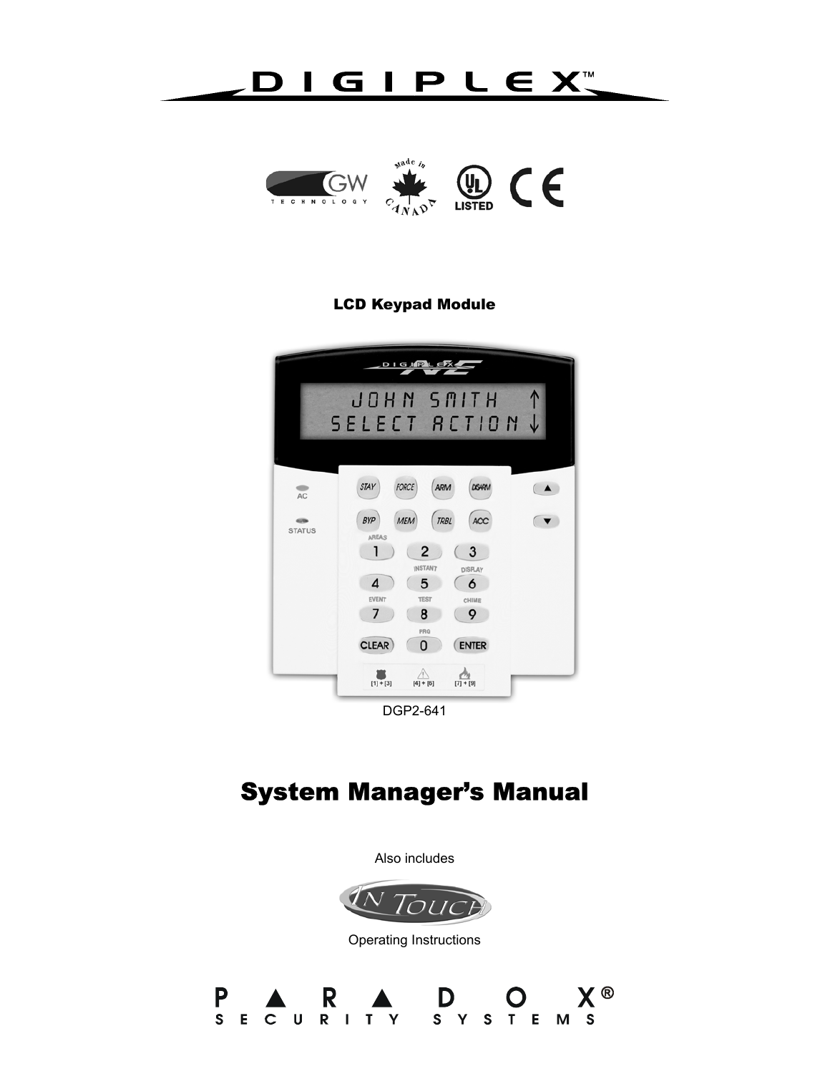# DIGIPLEX™



## LCD Keypad Module



# System Manager's Manual

Also includes



Operating Instructions

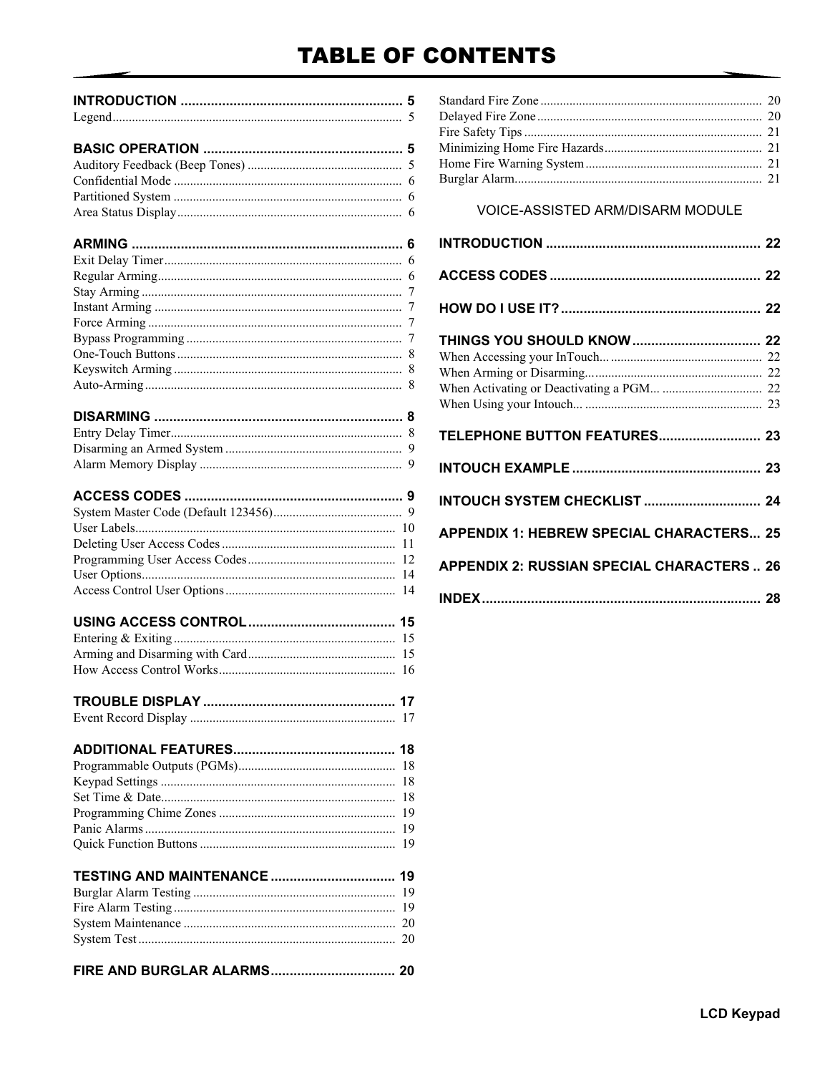# **TABLE OF CONTENTS**

| $\mathbf{r} = \mathbf{r}$ , and the set of the set of the set of the set of the set of the set of the set of the set of the set of the set of the set of the set of the set of the set of the set of the set of the set of the set of t |  |
|-----------------------------------------------------------------------------------------------------------------------------------------------------------------------------------------------------------------------------------------|--|

### 

#### 

## 

### 

### 

## **VOICE-ASSISTED ARM/DISARM MODULE**

| <b>APPENDIX 1: HEBREW SPECIAL CHARACTERS 25</b>   |  |
|---------------------------------------------------|--|
| <b>APPENDIX 2: RUSSIAN SPECIAL CHARACTERS  26</b> |  |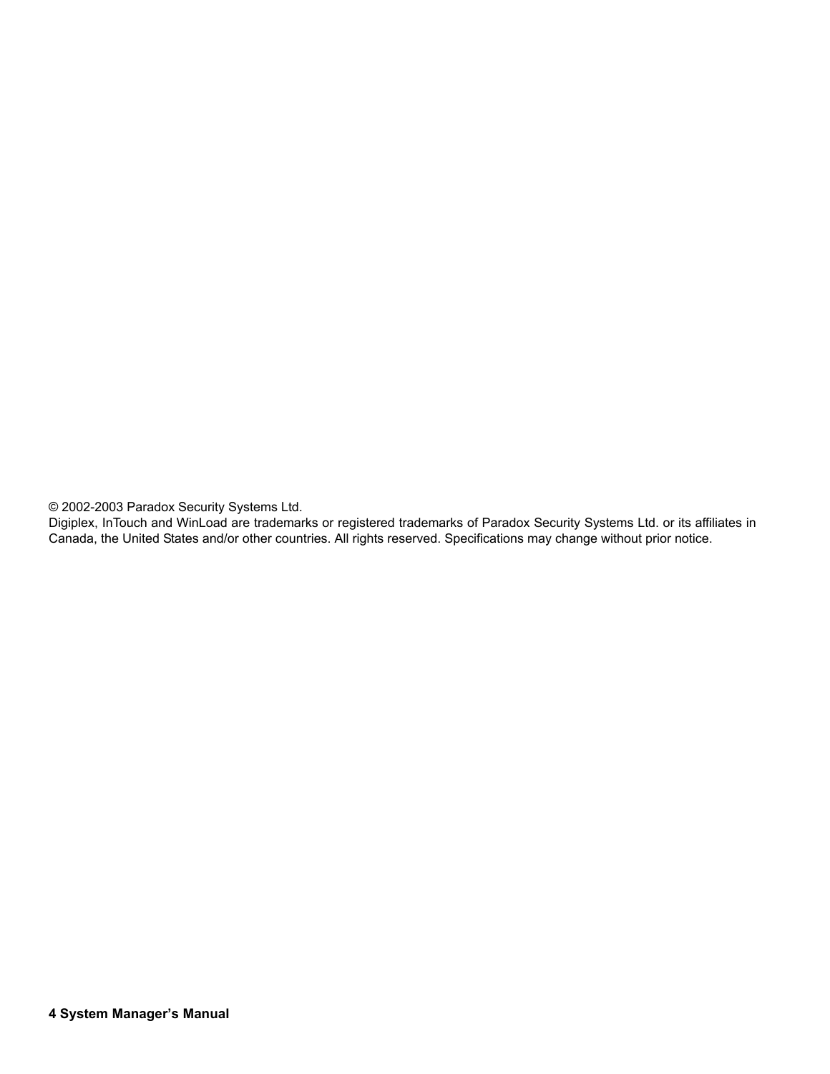© 2002-2003 Paradox Security Systems Ltd.

Digiplex, InTouch and WinLoad are trademarks or registered trademarks of Paradox Security Systems Ltd. or its affiliates in Canada, the United States and/or other countries. All rights reserved. Specifications may change without prior notice.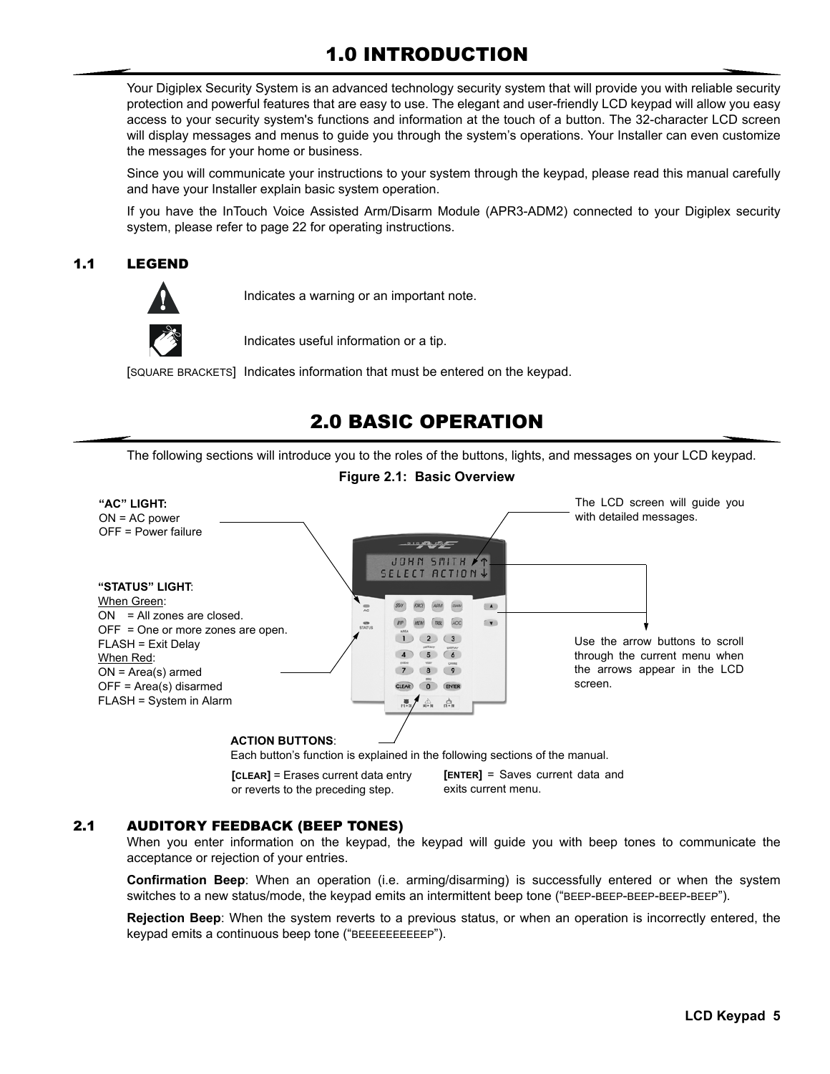## 1.0 INTRODUCTION

Your Digiplex Security System is an advanced technology security system that will provide you with reliable security protection and powerful features that are easy to use. The elegant and user-friendly LCD keypad will allow you easy access to your security system's functions and information at the touch of a button. The 32-character LCD screen will display messages and menus to guide you through the system's operations. Your Installer can even customize the messages for your home or business.

Since you will communicate your instructions to your system through the keypad, please read this manual carefully and have your Installer explain basic system operation.

If you have the InTouch Voice Assisted Arm/Disarm Module (APR3-ADM2) connected to your Digiplex security system, please refer to page 22 for operating instructions.

## 1.1 LEGEND



Indicates a warning or an important note.

Indicates useful information or a tip.

[SQUARE BRACKETS] Indicates information that must be entered on the keypad.

## 2.0 BASIC OPERATION

The following sections will introduce you to the roles of the buttons, lights, and messages on your LCD keypad.



Each button's function is explained in the following sections of the manual.

**[CLEAR]** = Erases current data entry or reverts to the preceding step.

**[ENTER]** = Saves current data and exits current menu.

#### 2.1 AUDITORY FEEDBACK (BEEP TONES)

When you enter information on the keypad, the keypad will guide you with beep tones to communicate the acceptance or rejection of your entries.

**Confirmation Beep**: When an operation (i.e. arming/disarming) is successfully entered or when the system switches to a new status/mode, the keypad emits an intermittent beep tone ("BEEP-BEEP-BEEP-BEEP-BEEP").

**Rejection Beep**: When the system reverts to a previous status, or when an operation is incorrectly entered, the keypad emits a continuous beep tone ("BEEEEEEEEEEP").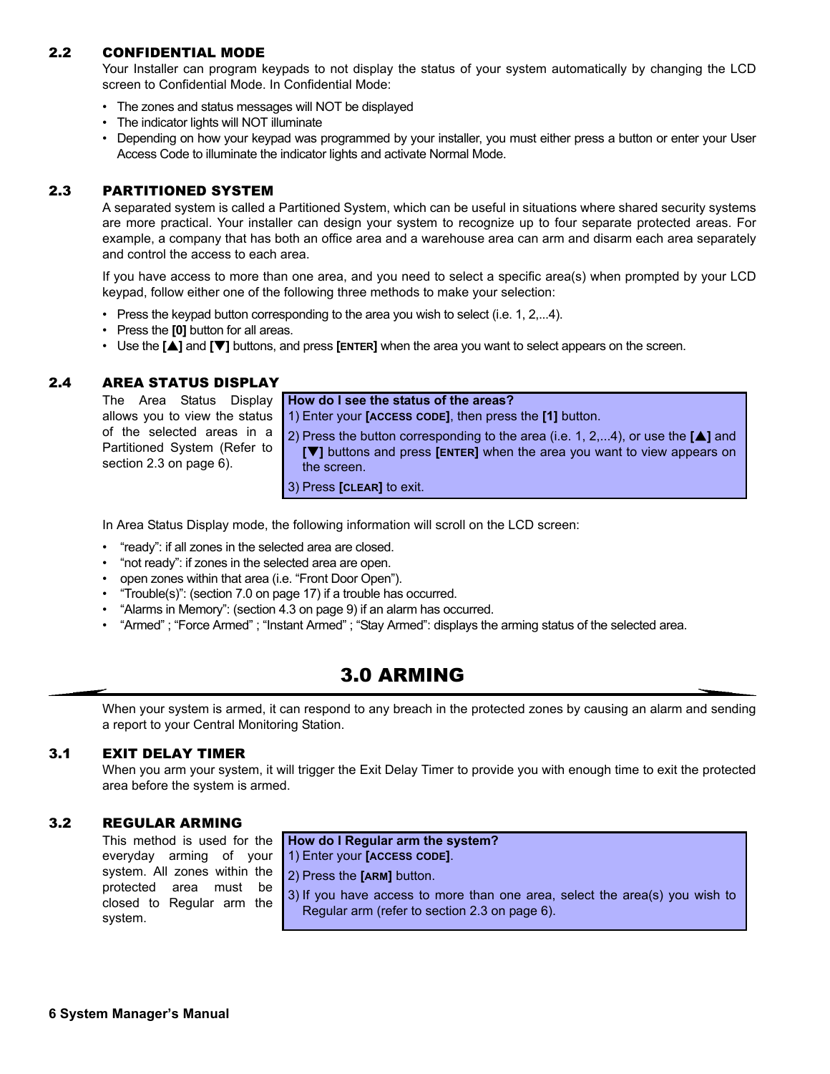### 2.2 CONFIDENTIAL MODE

Your Installer can program keypads to not display the status of your system automatically by changing the LCD screen to Confidential Mode. In Confidential Mode:

- The zones and status messages will NOT be displayed
- The indicator lights will NOT illuminate
- Depending on how your keypad was programmed by your installer, you must either press a button or enter your User Access Code to illuminate the indicator lights and activate Normal Mode.

### 2.3 PARTITIONED SYSTEM

A separated system is called a Partitioned System, which can be useful in situations where shared security systems are more practical. Your installer can design your system to recognize up to four separate protected areas. For example, a company that has both an office area and a warehouse area can arm and disarm each area separately and control the access to each area.

If you have access to more than one area, and you need to select a specific area(s) when prompted by your LCD keypad, follow either one of the following three methods to make your selection:

- Press the keypad button corresponding to the area you wish to select (i.e. 1, 2,...4).
- Press the **[0]** button for all areas.
- Use the **[**S**]** and **[**T**]** buttons, and press **[ENTER]** when the area you want to select appears on the screen.

### 2.4 AREA STATUS DISPLAY

|                                                         | The Area Status Display <b>How do I see the status of the areas?</b>                                                                                                                                                                  |
|---------------------------------------------------------|---------------------------------------------------------------------------------------------------------------------------------------------------------------------------------------------------------------------------------------|
|                                                         | allows you to view the status $\vert$ 1) Enter your <b>[ACCESS CODE]</b> , then press the <b>[1]</b> button.                                                                                                                          |
| Partitioned System (Refer to<br>section 2.3 on page 6). | of the selected areas in a $\boxed{2}$ Press the button corresponding to the area (i.e. 1, 2,4), or use the [ $\blacktriangle$ ] and<br>$[\nabla]$ buttons and press [ENTER] when the area you want to view appears on<br>the screen. |
|                                                         | 3) Press [CLEAR] to exit.                                                                                                                                                                                                             |

In Area Status Display mode, the following information will scroll on the LCD screen:

- "ready": if all zones in the selected area are closed.
- "not ready": if zones in the selected area are open.
- open zones within that area (i.e. "Front Door Open").
- "Trouble(s)": (section 7.0 on page 17) if a trouble has occurred.
- "Alarms in Memory": (section 4.3 on page 9) if an alarm has occurred.
- "Armed" ; "Force Armed" ; "Instant Armed" ; "Stay Armed": displays the arming status of the selected area.

## 3.0 ARMING

When your system is armed, it can respond to any breach in the protected zones by causing an alarm and sending a report to your Central Monitoring Station.

### 3.1 EXIT DELAY TIMER

When you arm your system, it will trigger the Exit Delay Timer to provide you with enough time to exit the protected area before the system is armed.

#### 3.2 REGULAR ARMING

This method is used for the everyday arming of your system. All zones within the protected area must be closed to Regular arm the system.

#### **How do I Regular arm the system?**

1) Enter your **[ACCESS CODE]**.

- 2) Press the **[ARM]** button.
- 3) If you have access to more than one area, select the area(s) you wish to Regular arm (refer to section 2.3 on page 6).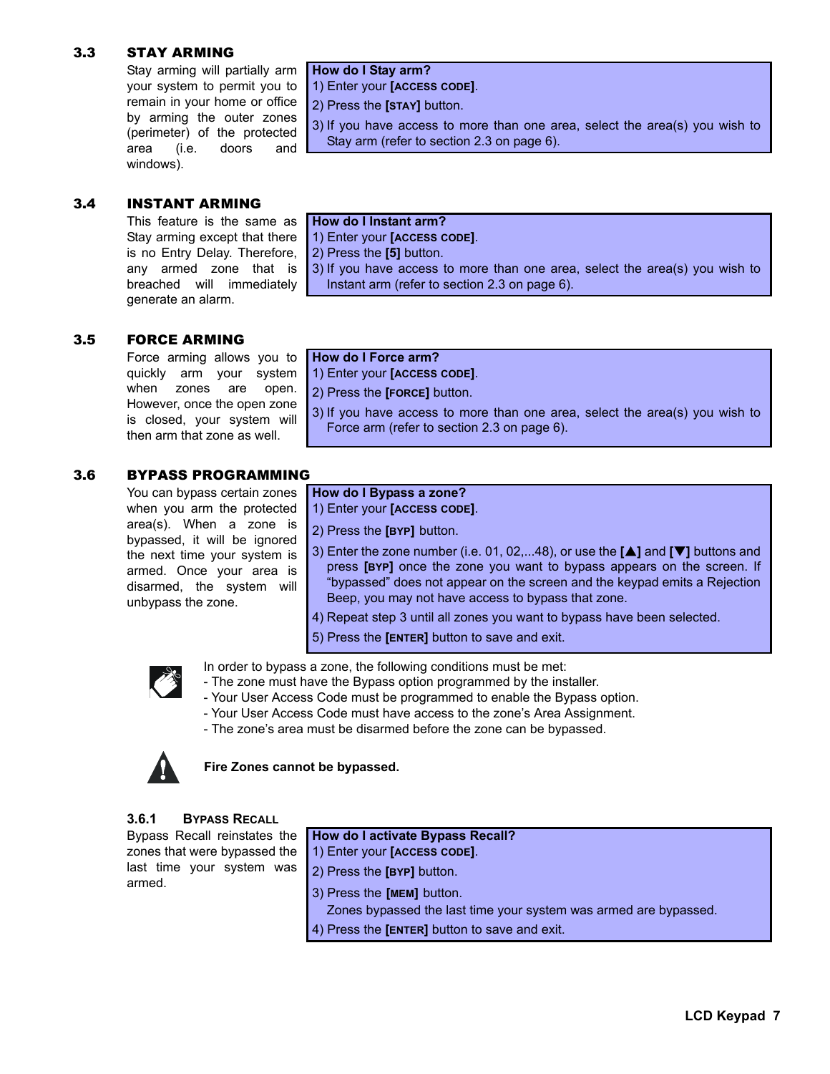## 3.3 STAY ARMING

Stay arming will partially arm your system to permit you to remain in your home or office by arming the outer zones (perimeter) of the protected area (i.e. doors and windows).

#### **How do I Stay arm?** 1) Enter your **[ACCESS CODE]**.

2) Press the **[STAY]** button.

3) If you have access to more than one area, select the area(s) you wish to Stay arm (refer to section 2.3 on page 6).

#### 3.4 INSTANT ARMING

This feature is the same as Stay arming except that there is no Entry Delay. Therefore, any armed zone that is breached will immediately generate an alarm.

|  | How do I Instant arm? |  |
|--|-----------------------|--|

1) Enter your **[ACCESS CODE]**.

2) Press the **[5]** button.

3) If you have access to more than one area, select the area(s) you wish to Instant arm (refer to section 2.3 on page 6).

### 3.5 FORCE ARMING

Force arming allows you to quickly arm your system when zones are open. However, once the open zone is closed, your system will then arm that zone as well.

### **How do I Force arm?**

1) Enter your **[ACCESS CODE]**.

2) Press the **[FORCE]** button.

3) If you have access to more than one area, select the area(s) you wish to Force arm (refer to section 2.3 on page 6).

### 3.6 BYPASS PROGRAMMING

You can bypass certain zones when you arm the protected area(s). When a zone is bypassed, it will be ignored the next time your system is armed. Once your area is disarmed, the system will unbypass the zone.

## **How do I Bypass a zone?**

1) Enter your **[ACCESS CODE]**.

2) Press the **[BYP]** button.

- 3) Enter the zone number (i.e. 01, 02,...48), or use the **[**S**]** and **[**T**]** buttons and press **[BYP]** once the zone you want to bypass appears on the screen. If "bypassed" does not appear on the screen and the keypad emits a Rejection Beep, you may not have access to bypass that zone.
- 4) Repeat step 3 until all zones you want to bypass have been selected.
- 5) Press the **[ENTER]** button to save and exit.



In order to bypass a zone, the following conditions must be met:

- The zone must have the Bypass option programmed by the installer.
- Your User Access Code must be programmed to enable the Bypass option.
- Your User Access Code must have access to the zone's Area Assignment.
- The zone's area must be disarmed before the zone can be bypassed.



**Fire Zones cannot be bypassed.** 

#### **3.6.1 BYPASS RECALL**

Bypass Recall reinstates the zones that were bypassed the last time your system was armed.

### **How do I activate Bypass Recall?**

- 1) Enter your **[ACCESS CODE]**.
- 2) Press the **[BYP]** button.
- 3) Press the **[MEM]** button.
- Zones bypassed the last time your system was armed are bypassed.
- 4) Press the **[ENTER]** button to save and exit.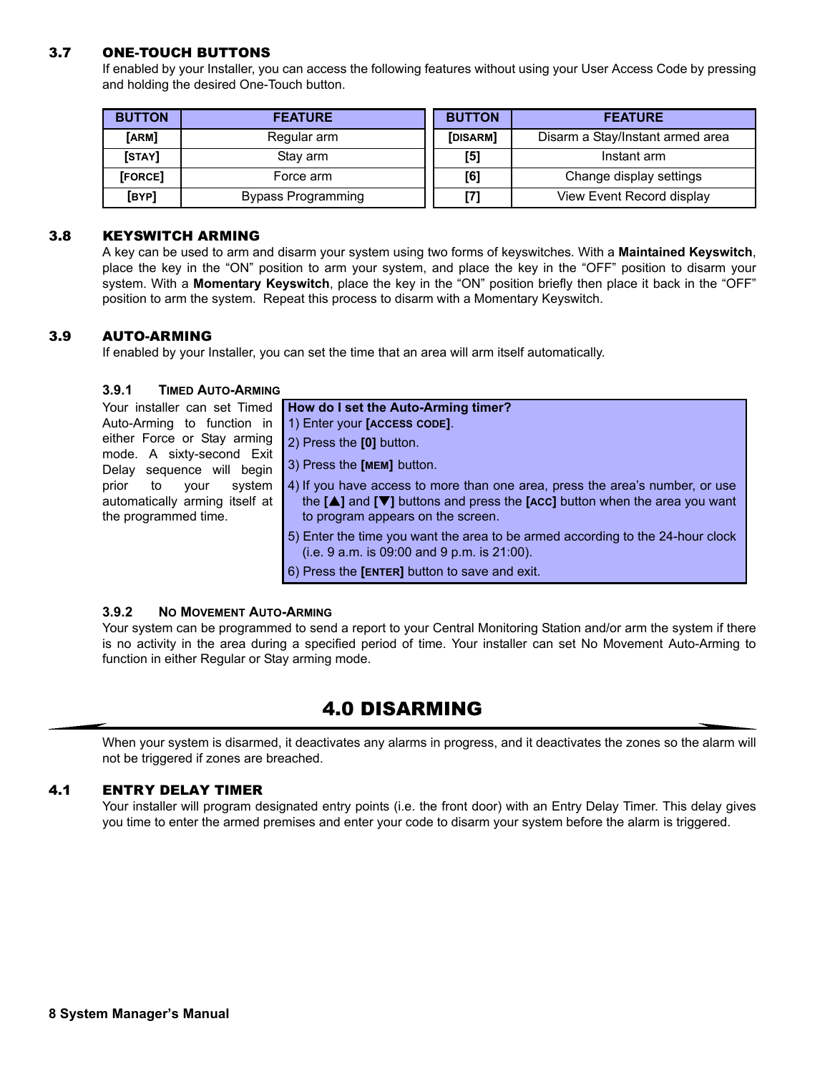### 3.7 ONE-TOUCH BUTTONS

If enabled by your Installer, you can access the following features without using your User Access Code by pressing and holding the desired One-Touch button.

| <b>BUTTON</b> | <b>FEATURE</b>     | <b>BUTTON</b> | <b>FEATURE</b>                   |
|---------------|--------------------|---------------|----------------------------------|
| [ARM]         | Regular arm        | [DISARM]      | Disarm a Stay/Instant armed area |
| [STAY]        | Stay arm           | [5]           | Instant arm                      |
| [FORCE]       | Force arm          | [6]           | Change display settings          |
| [BYP]         | Bypass Programming | [7]           | View Event Record display        |

#### 3.8 KEYSWITCH ARMING

A key can be used to arm and disarm your system using two forms of keyswitches. With a **Maintained Keyswitch**, place the key in the "ON" position to arm your system, and place the key in the "OFF" position to disarm your system. With a **Momentary Keyswitch**, place the key in the "ON" position briefly then place it back in the "OFF" position to arm the system. Repeat this process to disarm with a Momentary Keyswitch.

#### 3.9 AUTO-ARMING

If enabled by your Installer, you can set the time that an area will arm itself automatically.

#### **3.9.1 TIMED AUTO-ARMING**

| Your installer can set Timed                           | How do I set the Auto-Arming timer?                                                               |
|--------------------------------------------------------|---------------------------------------------------------------------------------------------------|
| Auto-Arming to function in                             | 1) Enter your [ACCESS CODE].                                                                      |
| either Force or Stay arming                            | 2) Press the [0] button.                                                                          |
| mode. A sixty-second Exit<br>Delay sequence will begin | 3) Press the <b>[MEM]</b> button.                                                                 |
| system<br>prior<br>to<br>vour                          | 4) If you have access to more than one area, press the area's number, or use                      |
| automatically arming itself at                         | the $[\triangle]$ and $[\triangledown]$ buttons and press the [ACC] button when the area you want |
| the programmed time.                                   | to program appears on the screen.                                                                 |
|                                                        | 5) Enter the time you want the area to be armed according to the 24-hour clock                    |
|                                                        | $(i.e. 9 a.m.$ is 09:00 and 9 p.m. is 21:00).                                                     |
|                                                        | 6) Press the [ENTER] button to save and exit.                                                     |

#### **3.9.2 NO MOVEMENT AUTO-ARMING**

Your system can be programmed to send a report to your Central Monitoring Station and/or arm the system if there is no activity in the area during a specified period of time. Your installer can set No Movement Auto-Arming to function in either Regular or Stay arming mode.

## 4.0 DISARMING

When your system is disarmed, it deactivates any alarms in progress, and it deactivates the zones so the alarm will not be triggered if zones are breached.

#### 4.1 ENTRY DELAY TIMER

Your installer will program designated entry points (i.e. the front door) with an Entry Delay Timer. This delay gives you time to enter the armed premises and enter your code to disarm your system before the alarm is triggered.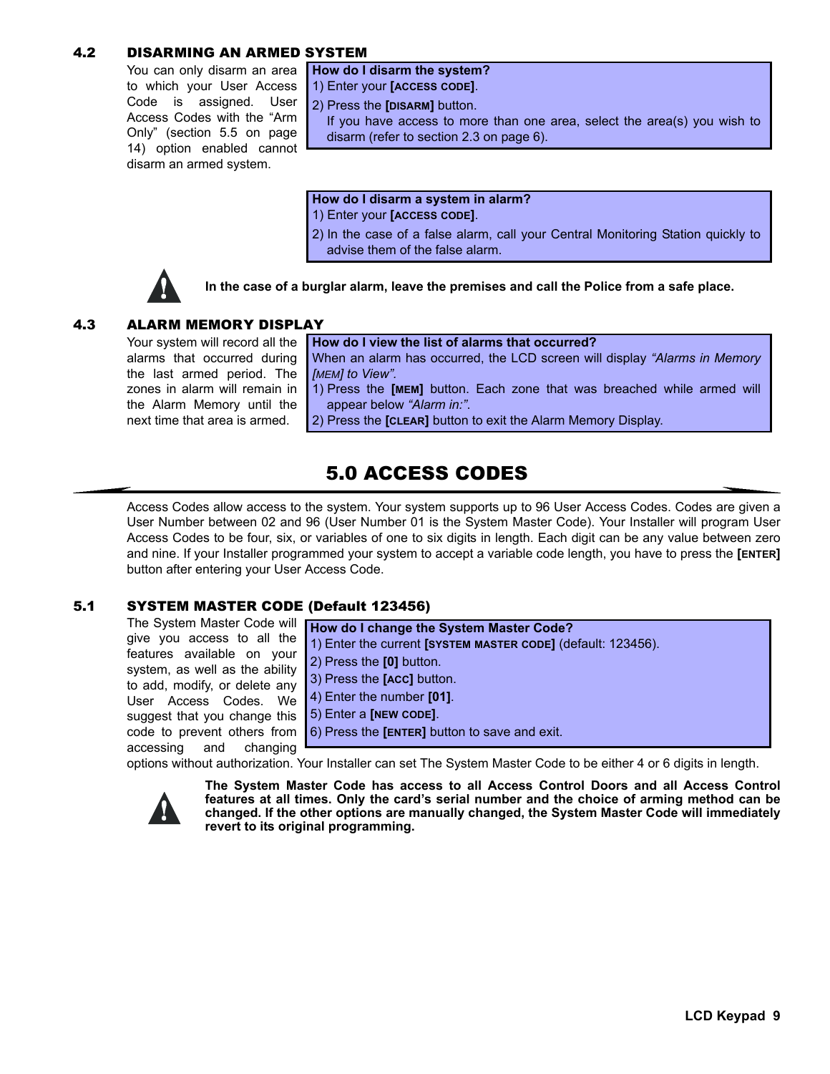## 4.2 DISARMING AN ARMED SYSTEM

You can only disarm an area to which your User Access Code is assigned. User Access Codes with the "Arm Only" (section 5.5 on page 14) option enabled cannot disarm an armed system.

**How do I disarm the system?** 1) Enter your **[ACCESS CODE]**.

2) Press the **[DISARM]** button.

If you have access to more than one area, select the area(s) you wish to disarm (refer to section 2.3 on page 6).

**How do I disarm a system in alarm?**

- 1) Enter your **[ACCESS CODE]**.
- 2) In the case of a false alarm, call your Central Monitoring Station quickly to advise them of the false alarm.



**In the case of a burglar alarm, leave the premises and call the Police from a safe place.**

## 4.3 ALARM MEMORY DISPLAY

Your system will record all the alarms that occurred during the last armed period. The zones in alarm will remain in the Alarm Memory until the next time that area is armed.

**How do I view the list of alarms that occurred?** When an alarm has occurred, the LCD screen will display *"Alarms in Memory [MEM] to View".* 1) Press the **[MEM]** button. Each zone that was breached while armed will

appear below *"Alarm in:"*.

2) Press the **[CLEAR]** button to exit the Alarm Memory Display.

## 5.0 ACCESS CODES

Access Codes allow access to the system. Your system supports up to 96 User Access Codes. Codes are given a User Number between 02 and 96 (User Number 01 is the System Master Code). Your Installer will program User Access Codes to be four, six, or variables of one to six digits in length. Each digit can be any value between zero and nine. If your Installer programmed your system to accept a variable code length, you have to press the **[ENTER]** button after entering your User Access Code.

## 5.1 SYSTEM MASTER CODE (Default 123456)

The System Master Code will give you access to all the features available on your system, as well as the ability to add, modify, or delete any User Access Codes. We suggest that you change this code to prevent others from accessing and changing



options without authorization. Your Installer can set The System Master Code to be either 4 or 6 digits in length.



**The System Master Code has access to all Access Control Doors and all Access Control features at all times. Only the card's serial number and the choice of arming method can be changed. If the other options are manually changed, the System Master Code will immediately revert to its original programming.**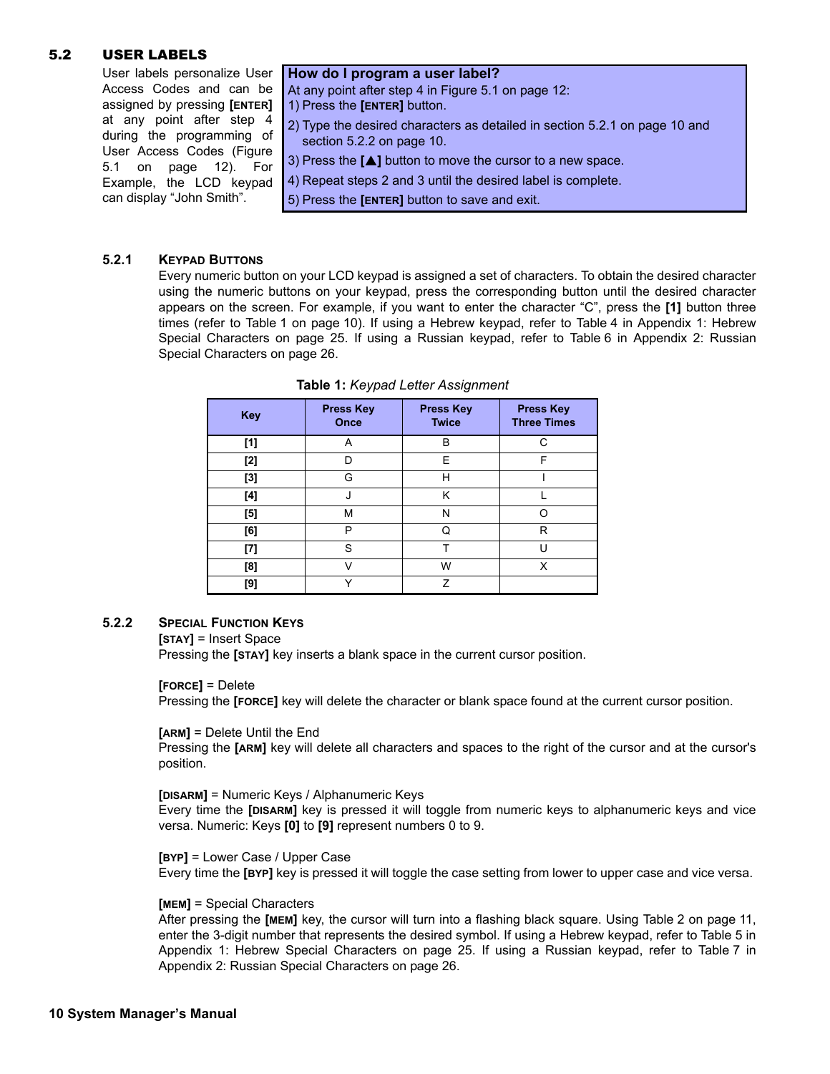#### 5.2 USER LABELS

User labels personalize User Access Codes and can be assigned by pressing **[ENTER]** at any point after step 4 during the programming of User Access Codes (Figure 5.1 on page 12). For Example, the LCD keypad can display "John Smith".

#### **How do I program a user label?**

At any point after step 4 in Figure 5.1 on page 12:

1) Press the **[ENTER]** button.

- 2) Type the desired characters as detailed in section 5.2.1 on page 10 and section 5.2.2 on page 10.
- 3) Press the **[**S**]** button to move the cursor to a new space.
- 4) Repeat steps 2 and 3 until the desired label is complete.
- 5) Press the **[ENTER]** button to save and exit.

#### **5.2.1 KEYPAD BUTTONS**

Every numeric button on your LCD keypad is assigned a set of characters. To obtain the desired character using the numeric buttons on your keypad, press the corresponding button until the desired character appears on the screen. For example, if you want to enter the character "C", press the **[1]** button three times (refer to Table 1 on page 10). If using a Hebrew keypad, refer to Table 4 in Appendix 1: Hebrew Special Characters on page 25. If using a Russian keypad, refer to Table 6 in Appendix 2: Russian Special Characters on page 26.

| <b>Key</b> | <b>Press Key</b><br>Once | <b>Press Key</b><br><b>Twice</b> | <b>Press Key</b><br><b>Three Times</b> |
|------------|--------------------------|----------------------------------|----------------------------------------|
| [1]        | A                        | B                                | C                                      |
| $[2]$      | D                        | E                                | F                                      |
| $[3]$      | G                        | н                                |                                        |
| [4]        | J                        | Κ                                |                                        |
| [5]        | М                        | N                                |                                        |
| [6]        | P                        | Ω                                | R                                      |
| [7]        | S                        | T                                |                                        |
| [8]        |                          | W                                | x                                      |
| [9]        |                          | 7                                |                                        |

| Table 1: Keypad Letter Assignment |  |  |  |  |  |
|-----------------------------------|--|--|--|--|--|
|-----------------------------------|--|--|--|--|--|

#### **5.2.2 SPECIAL FUNCTION KEYS**

**[STAY]** = Insert Space

Pressing the **[STAY]** key inserts a blank space in the current cursor position.

#### **[FORCE]** = Delete

Pressing the **[FORCE]** key will delete the character or blank space found at the current cursor position.

**[ARM]** = Delete Until the End

Pressing the **[ARM]** key will delete all characters and spaces to the right of the cursor and at the cursor's position.

#### **[DISARM]** = Numeric Keys / Alphanumeric Keys

Every time the **[DISARM]** key is pressed it will toggle from numeric keys to alphanumeric keys and vice versa. Numeric: Keys **[0]** to **[9]** represent numbers 0 to 9.

**[BYP]** = Lower Case / Upper Case Every time the **[BYP]** key is pressed it will toggle the case setting from lower to upper case and vice versa.

#### **[MEM]** = Special Characters

After pressing the **[MEM]** key, the cursor will turn into a flashing black square. Using Table 2 on page 11, enter the 3-digit number that represents the desired symbol. If using a Hebrew keypad, refer to Table 5 in Appendix 1: Hebrew Special Characters on page 25. If using a Russian keypad, refer to Table 7 in Appendix 2: Russian Special Characters on page 26.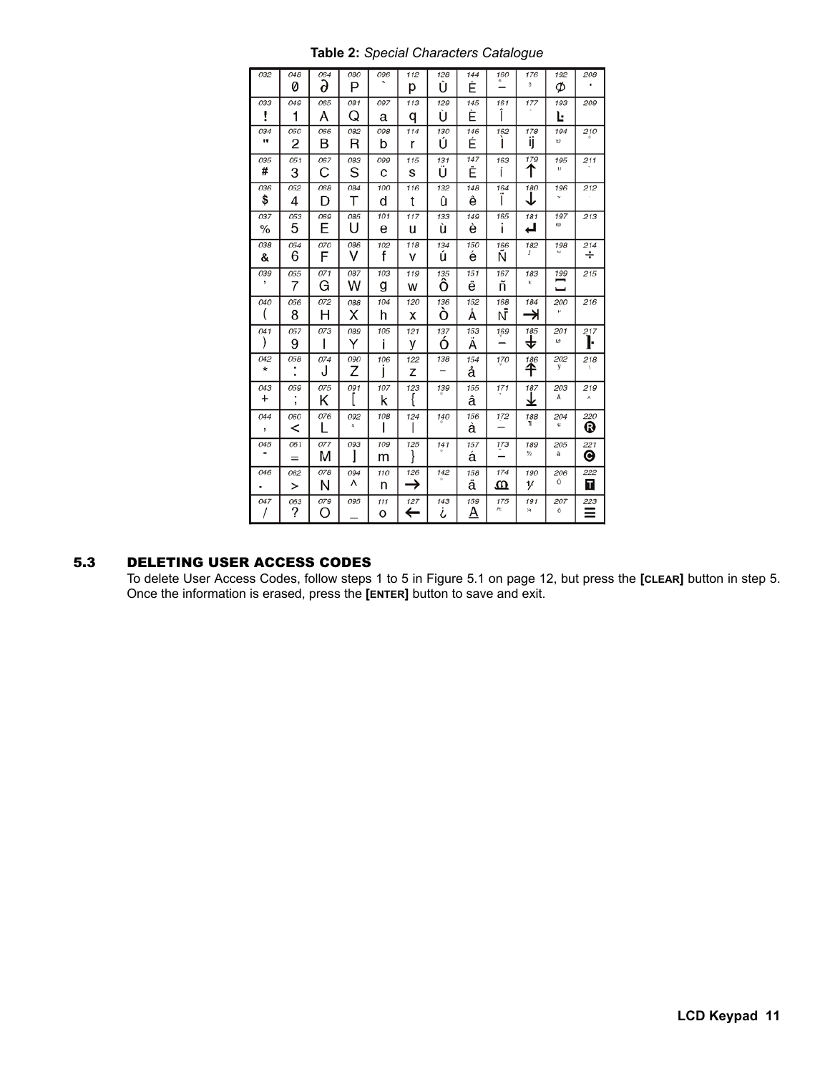| 032      | 048        | 064 | 080      | 096 | 112 | 128 | 144 | 160      | 176       | 192      | 208      |
|----------|------------|-----|----------|-----|-----|-----|-----|----------|-----------|----------|----------|
|          | Ø          | д   | P        |     | р   | Û   | Ê   |          | S.        | Ø        |          |
| 033      | 049        | 065 | 081      | 097 | 113 | 129 | 145 | 161      | 177       | 193      | 209      |
| i        | 1          | А   | O        | а   | q   | Ù   | È   | ı        |           | Ŀ        |          |
| 034      | <i>050</i> | 066 | 082      | 098 | 114 | 130 | 146 | 162      | 178       | 194      | 210      |
| ₩        | 2          | В   | R        | b   | r   | Ú   | É   |          | ij        | Đ        |          |
| 035      | 051        | 067 | 083      | 099 | 115 | 131 | 147 | 163      | 179       | 195      | 211      |
| #        | 3          | С   | S        | C   | s   | U   | Ë   | í        | ͳ         | 15       |          |
| 036      | 052        | 068 | 084      | 100 | 116 | 132 | 148 | 164      | 180       | 196<br>v | 212      |
| \$       | 4          | D   | Т        | d   | t   | û   | ê   |          | ↓         |          |          |
| 037      | 053        | 069 | 085      | 101 | 117 | 133 | 149 | 165      | 181       | 197<br>ω | 213      |
| %        | 5          | E   | Ħ        | е   | u   | ù   | è   | i        | ᆸ         |          |          |
| 038      | 054        | 070 | 086      | 102 | 118 | 134 | 150 | 166      | 182<br>t  | 198      | 214<br>÷ |
| &        | 6          | F   | v        | f   | v   | ú   | é   | N        |           |          |          |
| 039<br>, | 055        | 071 | 087      | 103 | 119 | 135 | 151 | 167      | 183<br>ĸ  | 199      | 215      |
|          | 7          | G   | w        | g   | w   | Ô   | ë   | ñ        |           |          |          |
| 040      | 056        | 072 | 088      | 104 | 120 | 136 | 152 | 168      | 184       | 200      | 216      |
|          | 8          | Н   | x        | h   | x   | Ó   | А   | ΝĪ       | ⇥         | p.       |          |
| 041      | 057        | 073 | 089      | 105 | 121 | 137 | 153 | 169      | 185       | 201      | 217      |
|          | 9          | ı   | Y        | Ť   | у   | Ο   | А   |          | +         | ø        | ŀ        |
| 042<br>* | 058<br>٠   | 074 | 090      | 106 | 122 | 138 | 154 | 170      | 186       | 202<br>ŷ | 218      |
|          |            | J   | Z        | I   | z   | -   | å   |          | ✦         |          |          |
| 043      | 059        | 075 | 091      | 107 | 123 | 139 | 155 | 171      | 187       | 203<br>Ã | 219<br>٨ |
| +        | ,          | κ   |          | k   | ∤   |     | â   |          | ₹         |          |          |
| 044      | 060        | 076 | 092<br>¥ | 108 | 124 | 140 | 156 | 172      | 188<br>٦  | 204<br>e | 220      |
| ,        | <          |     |          |     |     |     | á   |          |           |          | ®        |
| 045      | 061        | 077 | 093      | 109 | 125 | 141 | 157 | 173      | 189<br>险  | 205<br>ă | 221      |
|          | $=$        | M   | 1        | m   | ł   |     | á   |          |           |          | ◉        |
| 046      | 062        | 078 | 094      | 110 | 126 | 142 | 158 | 174      | 190       | 206<br>Ö | 222      |
|          | >          | N   | л        | n   | →   |     | ä   | ⅏        | v         |          | П        |
| 047      | 063        | 079 | 095      | 111 | 127 | 143 | 159 | 175<br>仕 | 191<br>5ú | 207<br>δ | 223      |
|          | ?          | O   |          | o   | e   | ሪ   | A   |          |           |          |          |

**Table 2:** *Special Characters Catalogue*

## 5.3 DELETING USER ACCESS CODES

To delete User Access Codes, follow steps 1 to 5 in Figure 5.1 on page 12, but press the **[CLEAR]** button in step 5. Once the information is erased, press the **[ENTER]** button to save and exit.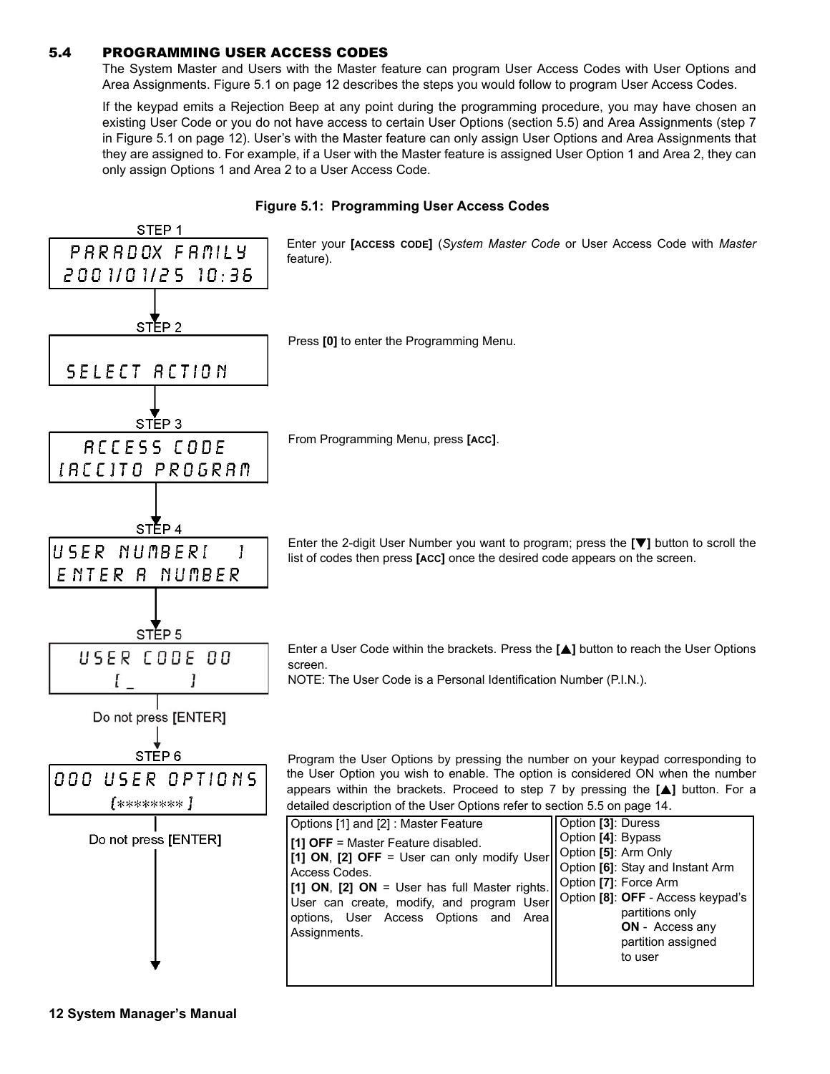### 5.4 PROGRAMMING USER ACCESS CODES

The System Master and Users with the Master feature can program User Access Codes with User Options and Area Assignments. Figure 5.1 on page 12 describes the steps you would follow to program User Access Codes.

If the keypad emits a Rejection Beep at any point during the programming procedure, you may have chosen an existing User Code or you do not have access to certain User Options (section 5.5) and Area Assignments (step 7 in Figure 5.1 on page 12). User's with the Master feature can only assign User Options and Area Assignments that they are assigned to. For example, if a User with the Master feature is assigned User Option 1 and Area 2, they can only assign Options 1 and Area 2 to a User Access Code.



#### **Figure 5.1: Programming User Access Codes**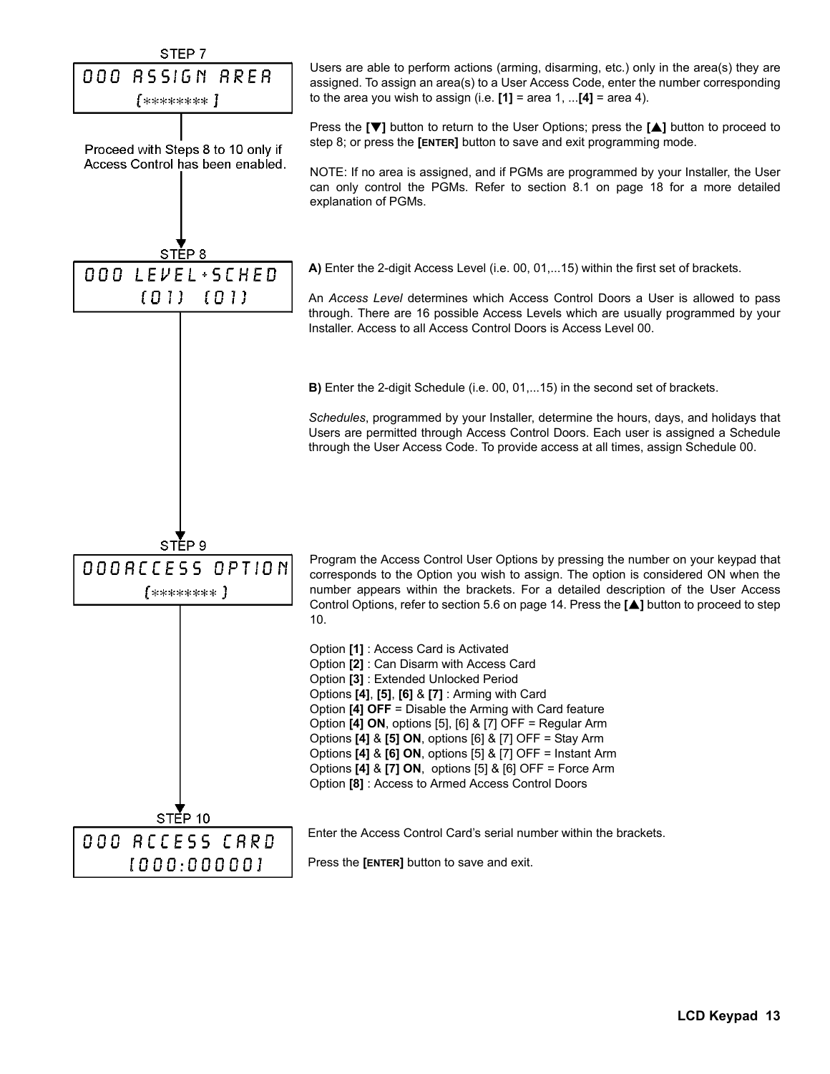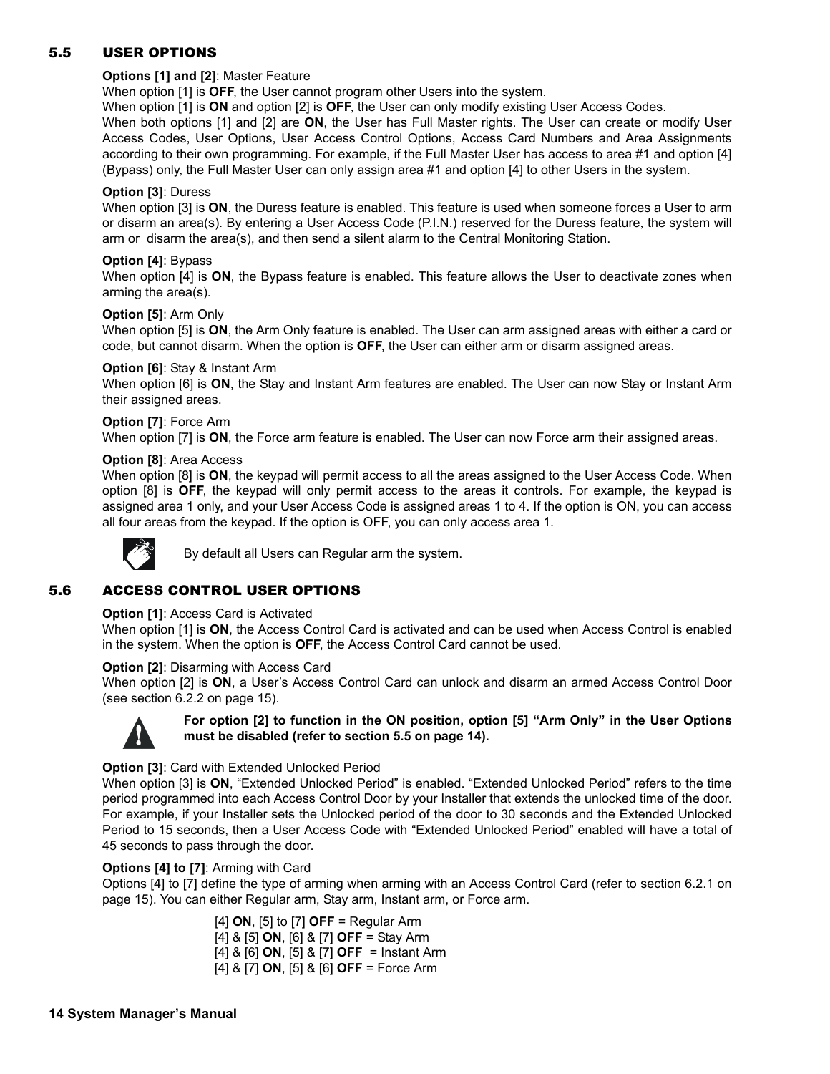## 5.5 USER OPTIONS

#### **Options [1] and [2]**: Master Feature

When option [1] is **OFF**, the User cannot program other Users into the system.

When option [1] is **ON** and option [2] is **OFF**, the User can only modify existing User Access Codes.

When both options [1] and [2] are **ON**, the User has Full Master rights. The User can create or modify User Access Codes, User Options, User Access Control Options, Access Card Numbers and Area Assignments according to their own programming. For example, if the Full Master User has access to area #1 and option [4] (Bypass) only, the Full Master User can only assign area #1 and option [4] to other Users in the system.

#### **Option [3]**: Duress

When option [3] is **ON**, the Duress feature is enabled. This feature is used when someone forces a User to arm or disarm an area(s). By entering a User Access Code (P.I.N.) reserved for the Duress feature, the system will arm or disarm the area(s), and then send a silent alarm to the Central Monitoring Station.

#### **Option [4]**: Bypass

When option [4] is **ON**, the Bypass feature is enabled. This feature allows the User to deactivate zones when arming the area(s).

#### **Option [5]**: Arm Only

When option [5] is **ON**, the Arm Only feature is enabled. The User can arm assigned areas with either a card or code, but cannot disarm. When the option is **OFF**, the User can either arm or disarm assigned areas.

#### **Option [6]**: Stay & Instant Arm

When option [6] is **ON**, the Stay and Instant Arm features are enabled. The User can now Stay or Instant Arm their assigned areas.

#### **Option [7]**: Force Arm

When option [7] is **ON**, the Force arm feature is enabled. The User can now Force arm their assigned areas.

#### **Option [8]**: Area Access

When option [8] is **ON**, the keypad will permit access to all the areas assigned to the User Access Code. When option [8] is **OFF**, the keypad will only permit access to the areas it controls. For example, the keypad is assigned area 1 only, and your User Access Code is assigned areas 1 to 4. If the option is ON, you can access all four areas from the keypad. If the option is OFF, you can only access area 1.



By default all Users can Regular arm the system.

### 5.6 ACCESS CONTROL USER OPTIONS

#### **Option [1]: Access Card is Activated**

When option [1] is **ON**, the Access Control Card is activated and can be used when Access Control is enabled in the system. When the option is **OFF**, the Access Control Card cannot be used.

#### **Option [2]**: Disarming with Access Card

When option [2] is **ON**, a User's Access Control Card can unlock and disarm an armed Access Control Door (see section 6.2.2 on page 15).



### **For option [2] to function in the ON position, option [5] "Arm Only" in the User Options must be disabled (refer to section 5.5 on page 14).**

#### **Option [3]**: Card with Extended Unlocked Period

When option [3] is **ON**, "Extended Unlocked Period" is enabled. "Extended Unlocked Period" refers to the time period programmed into each Access Control Door by your Installer that extends the unlocked time of the door. For example, if your Installer sets the Unlocked period of the door to 30 seconds and the Extended Unlocked Period to 15 seconds, then a User Access Code with "Extended Unlocked Period" enabled will have a total of 45 seconds to pass through the door.

#### **Options [4] to [7]**: Arming with Card

Options [4] to [7] define the type of arming when arming with an Access Control Card (refer to section 6.2.1 on page 15). You can either Regular arm, Stay arm, Instant arm, or Force arm.

> [4] **ON**, [5] to [7] **OFF** = Regular Arm [4] & [5] **ON**, [6] & [7] **OFF** = Stay Arm [4] & [6] **ON**, [5] & [7] **OFF** = Instant Arm [4] & [7] **ON**, [5] & [6] **OFF** = Force Arm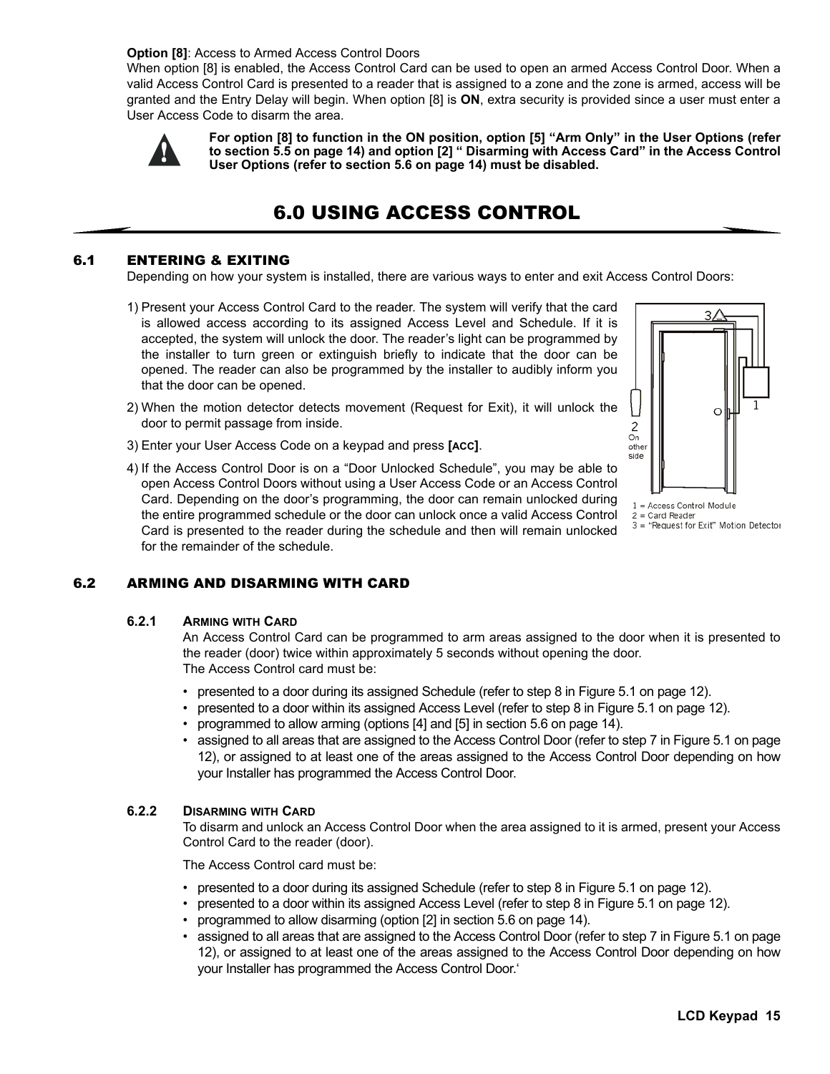#### **Option [8]**: Access to Armed Access Control Doors

When option [8] is enabled, the Access Control Card can be used to open an armed Access Control Door. When a valid Access Control Card is presented to a reader that is assigned to a zone and the zone is armed, access will be granted and the Entry Delay will begin. When option [8] is **ON**, extra security is provided since a user must enter a User Access Code to disarm the area.



**For option [8] to function in the ON position, option [5] "Arm Only" in the User Options (refer to section 5.5 on page 14) and option [2] " Disarming with Access Card" in the Access Control User Options (refer to section 5.6 on page 14) must be disabled.**

## 6.0 USING ACCESS CONTROL

#### 6.1 ENTERING & EXITING

Depending on how your system is installed, there are various ways to enter and exit Access Control Doors:

- 1) Present your Access Control Card to the reader. The system will verify that the card is allowed access according to its assigned Access Level and Schedule. If it is accepted, the system will unlock the door. The reader's light can be programmed by the installer to turn green or extinguish briefly to indicate that the door can be opened. The reader can also be programmed by the installer to audibly inform you that the door can be opened.
- 2) When the motion detector detects movement (Request for Exit), it will unlock the door to permit passage from inside.
- 3) Enter your User Access Code on a keypad and press **[ACC]**.



 $1 = Access$  Control Module  $2 =$  Card Reader  $3$  = "Request for Exit" Motion Detector

4) If the Access Control Door is on a "Door Unlocked Schedule", you may be able to open Access Control Doors without using a User Access Code or an Access Control Card. Depending on the door's programming, the door can remain unlocked during the entire programmed schedule or the door can unlock once a valid Access Control Card is presented to the reader during the schedule and then will remain unlocked for the remainder of the schedule.

### 6.2 ARMING AND DISARMING WITH CARD

#### **6.2.1 ARMING WITH CARD**

An Access Control Card can be programmed to arm areas assigned to the door when it is presented to the reader (door) twice within approximately 5 seconds without opening the door. The Access Control card must be:

- presented to a door during its assigned Schedule (refer to step 8 in Figure 5.1 on page 12).
- presented to a door within its assigned Access Level (refer to step 8 in Figure 5.1 on page 12).
- programmed to allow arming (options [4] and [5] in section 5.6 on page 14).
- assigned to all areas that are assigned to the Access Control Door (refer to step 7 in Figure 5.1 on page 12), or assigned to at least one of the areas assigned to the Access Control Door depending on how your Installer has programmed the Access Control Door.

#### **6.2.2 DISARMING WITH CARD**

To disarm and unlock an Access Control Door when the area assigned to it is armed, present your Access Control Card to the reader (door).

The Access Control card must be:

- presented to a door during its assigned Schedule (refer to step 8 in Figure 5.1 on page 12).
- presented to a door within its assigned Access Level (refer to step 8 in Figure 5.1 on page 12).
- programmed to allow disarming (option [2] in section 5.6 on page 14).
- assigned to all areas that are assigned to the Access Control Door (refer to step 7 in Figure 5.1 on page 12), or assigned to at least one of the areas assigned to the Access Control Door depending on how your Installer has programmed the Access Control Door.'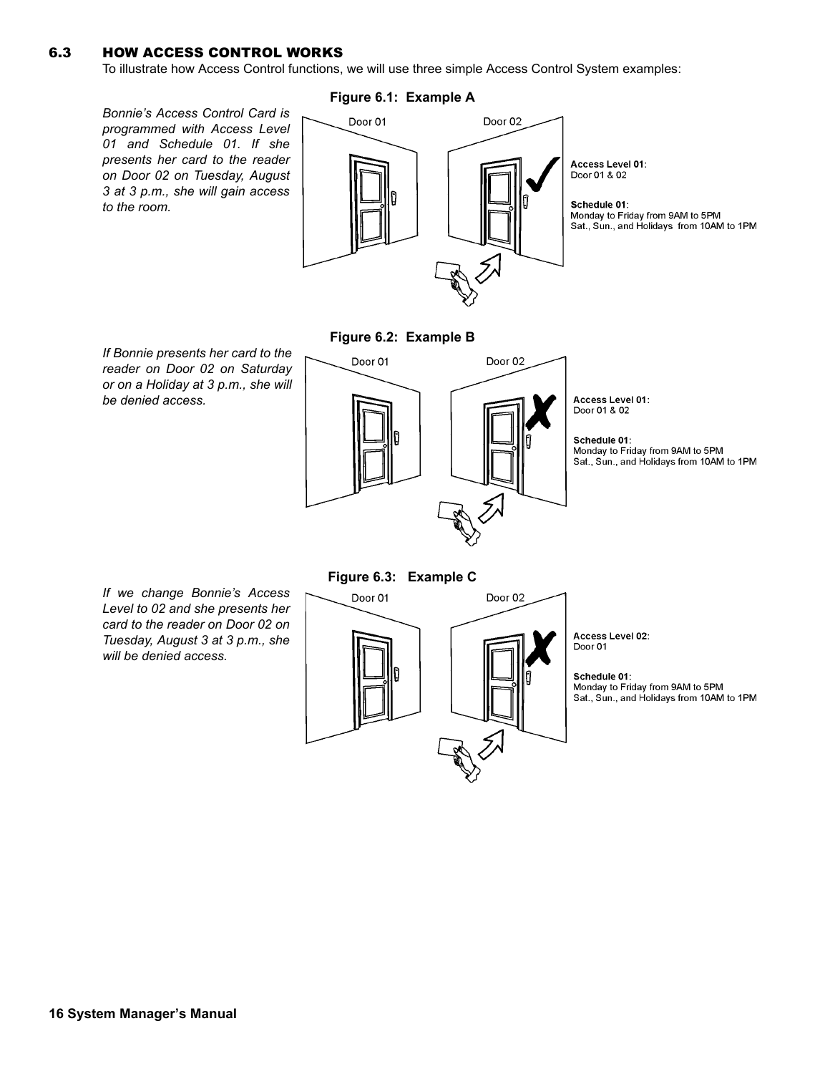### 6.3 HOW ACCESS CONTROL WORKS

To illustrate how Access Control functions, we will use three simple Access Control System examples:

*Bonnie's Access Control Card is programmed with Access Level 01 and Schedule 01. If she presents her card to the reader on Door 02 on Tuesday, August 3 at 3 p.m., she will gain access to the room.*

#### **Figure 6.1: Example A**



*If Bonnie presents her card to the reader on Door 02 on Saturday or on a Holiday at 3 p.m., she will be denied access.*

**Figure 6.2: Example B**



*If we change Bonnie's Access Level to 02 and she presents her card to the reader on Door 02 on Tuesday, August 3 at 3 p.m., she will be denied access.*

**Figure 6.3: Example C**

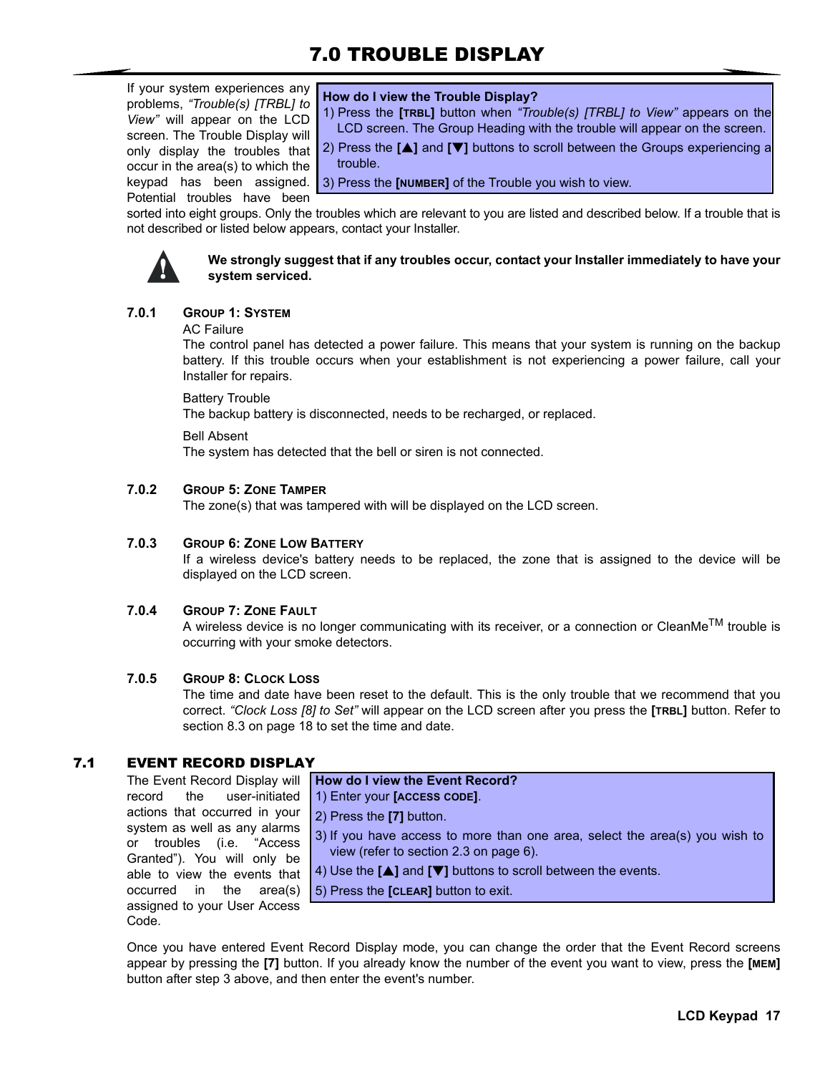## 7.0 TROUBLE DISPLAY

If your system experiences any problems, *"Trouble(s) [TRBL] to View"* will appear on the LCD screen. The Trouble Display will only display the troubles that occur in the area(s) to which the Potential troubles have been

#### **How do I view the Trouble Display?**

1) Press the **[TRBL]** button when *"Trouble(s) [TRBL] to View"* appears on the LCD screen. The Group Heading with the trouble will appear on the screen.

2) Press the **[**S**]** and **[**T**]** buttons to scroll between the Groups experiencing a trouble.

keypad has been assigned. 3) Press the **[NUMBER]** of the Trouble you wish to view.

sorted into eight groups. Only the troubles which are relevant to you are listed and described below. If a trouble that is not described or listed below appears, contact your Installer.



#### **We strongly suggest that if any troubles occur, contact your Installer immediately to have your system serviced.**

### **7.0.1 GROUP 1: SYSTEM**

#### AC Failure

The control panel has detected a power failure. This means that your system is running on the backup battery. If this trouble occurs when your establishment is not experiencing a power failure, call your Installer for repairs.

Battery Trouble

The backup battery is disconnected, needs to be recharged, or replaced.

#### Bell Absent

The system has detected that the bell or siren is not connected.

### **7.0.2 GROUP 5: ZONE TAMPER**

The zone(s) that was tampered with will be displayed on the LCD screen.

#### **7.0.3 GROUP 6: ZONE LOW BATTERY**

If a wireless device's battery needs to be replaced, the zone that is assigned to the device will be displayed on the LCD screen.

#### **7.0.4 GROUP 7: ZONE FAULT**

A wireless device is no longer communicating with its receiver, or a connection or CleanMe<sup>TM</sup> trouble is occurring with your smoke detectors.

### **7.0.5 GROUP 8: CLOCK LOSS**

The time and date have been reset to the default. This is the only trouble that we recommend that you correct. *"Clock Loss [8] to Set"* will appear on the LCD screen after you press the **[TRBL]** button. Refer to section 8.3 on page 18 to set the time and date.

### 7.1 EVENT RECORD DISPLAY

The Event Record Display will record the user-initiated actions that occurred in your system as well as any alarms or troubles (i.e. "Access Granted"). You will only be able to view the events that occurred in the area(s) assigned to your User Access Code.

**How do I view the Event Record?** 1) Enter your **[ACCESS CODE]**.

2) Press the **[7]** button.

- 3) If you have access to more than one area, select the area(s) you wish to view (refer to section 2.3 on page 6).
- **4)** Use the **[▲]** and **[▼]** buttons to scroll between the events.
- 5) Press the **[CLEAR]** button to exit.

Once you have entered Event Record Display mode, you can change the order that the Event Record screens appear by pressing the **[7]** button. If you already know the number of the event you want to view, press the **[MEM]** button after step 3 above, and then enter the event's number.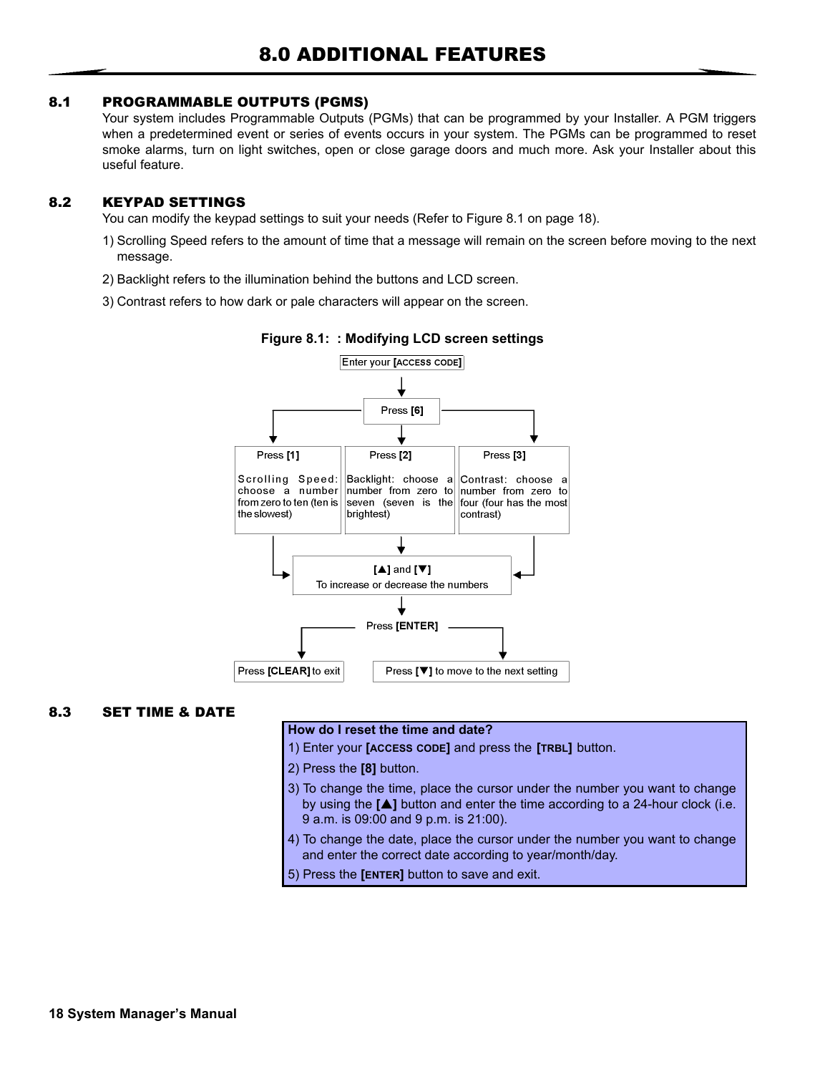### 8.1 PROGRAMMABLE OUTPUTS (PGMS)

Your system includes Programmable Outputs (PGMs) that can be programmed by your Installer. A PGM triggers when a predetermined event or series of events occurs in your system. The PGMs can be programmed to reset smoke alarms, turn on light switches, open or close garage doors and much more. Ask your Installer about this useful feature.

### 8.2 KEYPAD SETTINGS

You can modify the keypad settings to suit your needs (Refer to Figure 8.1 on page 18).

- 1) Scrolling Speed refers to the amount of time that a message will remain on the screen before moving to the next message.
- 2) Backlight refers to the illumination behind the buttons and LCD screen.
- 3) Contrast refers to how dark or pale characters will appear on the screen.



**Figure 8.1: : Modifying LCD screen settings**

### 8.3 SET TIME & DATE

#### **How do I reset the time and date?**

- 1) Enter your **[ACCESS CODE]** and press the **[TRBL]** button.
- 2) Press the **[8]** button.
- 3) To change the time, place the cursor under the number you want to change by using the [ $\triangle$ ] button and enter the time according to a 24-hour clock (i.e. 9 a.m. is 09:00 and 9 p.m. is 21:00).
- 4) To change the date, place the cursor under the number you want to change and enter the correct date according to year/month/day.
- 5) Press the **[ENTER]** button to save and exit.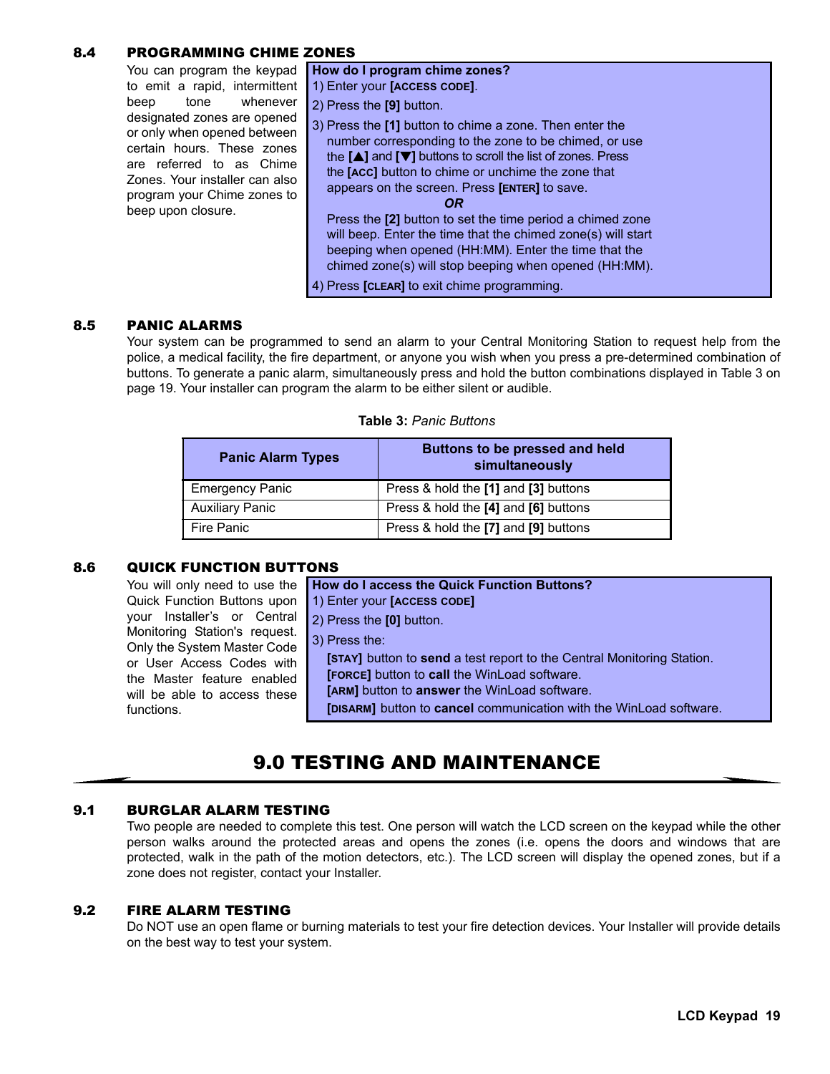### 8.4 PROGRAMMING CHIME ZONES

| You can program the keypad<br>to emit a rapid, intermittent<br>whenever<br>tone<br>beep<br>designated zones are opened<br>or only when opened between<br>certain hours. These zones<br>are referred to as Chime<br>Zones. Your installer can also<br>program your Chime zones to<br>beep upon closure. | How do I program chime zones?<br>1) Enter your [ACCESS CODE].<br>2) Press the [9] button.<br>3) Press the [1] button to chime a zone. Then enter the<br>number corresponding to the zone to be chimed, or use<br>the $[\triangle]$ and $[\triangledown]$ buttons to scroll the list of zones. Press<br>the [ACC] button to chime or unchime the zone that<br>appears on the screen. Press <b>[ENTER]</b> to save.<br>OR.<br>Press the [2] button to set the time period a chimed zone<br>will beep. Enter the time that the chimed zone(s) will start<br>beeping when opened (HH:MM). Enter the time that the<br>chimed zone(s) will stop beeping when opened (HH:MM).<br>4) Press [CLEAR] to exit chime programming. |
|--------------------------------------------------------------------------------------------------------------------------------------------------------------------------------------------------------------------------------------------------------------------------------------------------------|-----------------------------------------------------------------------------------------------------------------------------------------------------------------------------------------------------------------------------------------------------------------------------------------------------------------------------------------------------------------------------------------------------------------------------------------------------------------------------------------------------------------------------------------------------------------------------------------------------------------------------------------------------------------------------------------------------------------------|
|                                                                                                                                                                                                                                                                                                        |                                                                                                                                                                                                                                                                                                                                                                                                                                                                                                                                                                                                                                                                                                                       |

#### 8.5 PANIC ALARMS

Your system can be programmed to send an alarm to your Central Monitoring Station to request help from the police, a medical facility, the fire department, or anyone you wish when you press a pre-determined combination of buttons. To generate a panic alarm, simultaneously press and hold the button combinations displayed in Table 3 on page 19. Your installer can program the alarm to be either silent or audible.

#### **Table 3:** *Panic Buttons*

| <b>Panic Alarm Types</b> | Buttons to be pressed and held<br>simultaneously |
|--------------------------|--------------------------------------------------|
| <b>Emergency Panic</b>   | Press & hold the [1] and [3] buttons             |
| <b>Auxiliary Panic</b>   | Press & hold the [4] and [6] buttons             |
| Fire Panic               | Press & hold the [7] and [9] buttons             |

### 8.6 QUICK FUNCTION BUTTONS

|                                                                                                                                                                       | You will only need to use the How do I access the Quick Function Buttons?                                                                                                                                                                                     |
|-----------------------------------------------------------------------------------------------------------------------------------------------------------------------|---------------------------------------------------------------------------------------------------------------------------------------------------------------------------------------------------------------------------------------------------------------|
| Quick Function Buttons upon                                                                                                                                           | 1) Enter your [ACCESS CODE]                                                                                                                                                                                                                                   |
| your Installer's or Central                                                                                                                                           | 2) Press the [0] button.                                                                                                                                                                                                                                      |
| Monitoring Station's request.<br>Only the System Master Code<br>or User Access Codes with<br>the Master feature enabled<br>will be able to access these<br>functions. | 3) Press the:<br>[STAY] button to send a test report to the Central Monitoring Station.<br>[FORCE] button to call the WinLoad software.<br>[ARM] button to answer the WinLoad software.<br>[DISARM] button to cancel communication with the WinLoad software. |

## 9.0 TESTING AND MAINTENANCE

### 9.1 BURGLAR ALARM TESTING

Two people are needed to complete this test. One person will watch the LCD screen on the keypad while the other person walks around the protected areas and opens the zones (i.e. opens the doors and windows that are protected, walk in the path of the motion detectors, etc.). The LCD screen will display the opened zones, but if a zone does not register, contact your Installer.

#### 9.2 FIRE ALARM TESTING

Do NOT use an open flame or burning materials to test your fire detection devices. Your Installer will provide details on the best way to test your system.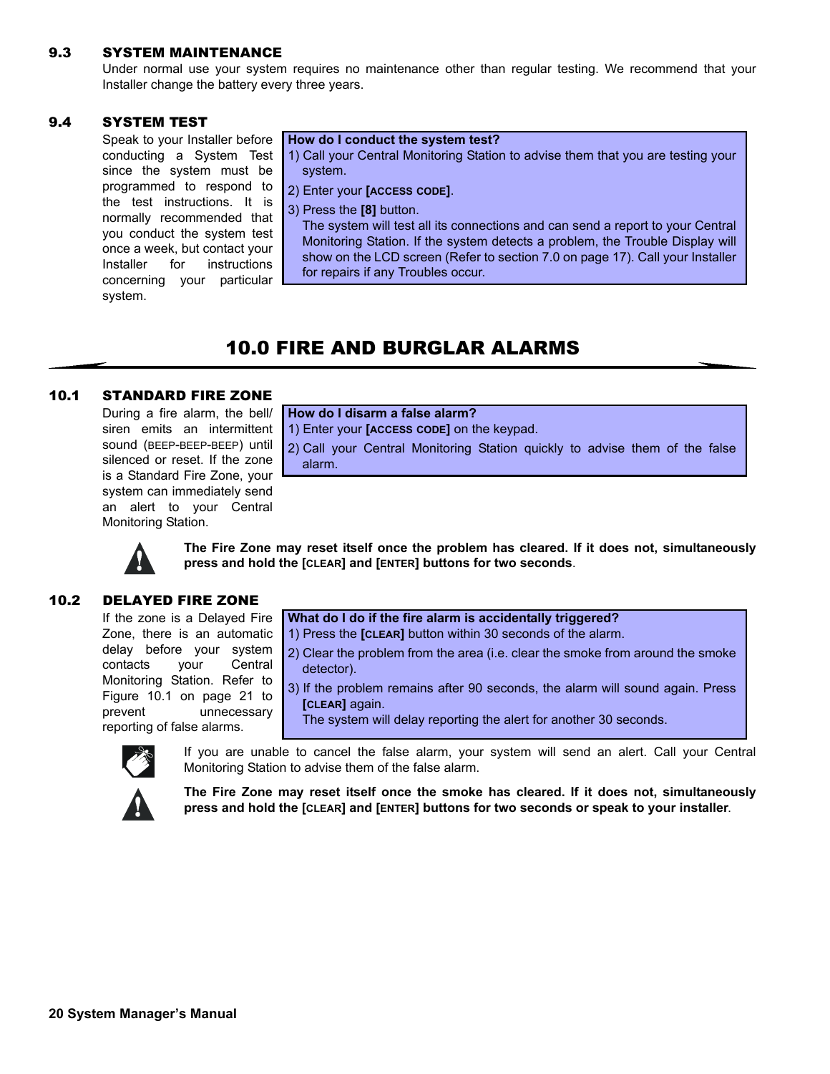#### 9.3 SYSTEM MAINTENANCE

Under normal use your system requires no maintenance other than regular testing. We recommend that your Installer change the battery every three years.

#### 9.4 SYSTEM TEST

Speak to your Installer before conducting a System Test since the system must be programmed to respond to the test instructions. It is normally recommended that you conduct the system test once a week, but contact your Installer for instructions concerning your particular system.

#### **How do I conduct the system test?**

- 1) Call your Central Monitoring Station to advise them that you are testing your system.
- 2) Enter your **[ACCESS CODE]**.
- 3) Press the **[8]** button.

The system will test all its connections and can send a report to your Central Monitoring Station. If the system detects a problem, the Trouble Display will show on the LCD screen (Refer to section 7.0 on page 17). Call your Installer for repairs if any Troubles occur.

## 10.0 FIRE AND BURGLAR ALARMS

## 10.1 STANDARD FIRE ZONE

During a fire alarm, the bell/ siren emits an intermittent sound (BEEP-BEEP-BEEP) until silenced or reset. If the zone is a Standard Fire Zone, your system can immediately send an alert to your Central Monitoring Station.

#### **How do I disarm a false alarm?**

1) Enter your **[ACCESS CODE]** on the keypad.

2) Call your Central Monitoring Station quickly to advise them of the false alarm.



**The Fire Zone may reset itself once the problem has cleared. If it does not, simultaneously press and hold the [CLEAR] and [ENTER] buttons for two seconds**.

### 10.2 DELAYED FIRE ZONE

If the zone is a Delayed Fire Zone, there is an automatic delay before your system contacts your Central Monitoring Station. Refer to Figure 10.1 on page 21 to prevent unnecessary reporting of false alarms.

**What do I do if the fire alarm is accidentally triggered?**

- 1) Press the **[CLEAR]** button within 30 seconds of the alarm.
	- 2) Clear the problem from the area (i.e. clear the smoke from around the smoke detector).
	- 3) If the problem remains after 90 seconds, the alarm will sound again. Press **[CLEAR]** again.
		- The system will delay reporting the alert for another 30 seconds.



If you are unable to cancel the false alarm, your system will send an alert. Call your Central Monitoring Station to advise them of the false alarm.



**The Fire Zone may reset itself once the smoke has cleared. If it does not, simultaneously press and hold the [CLEAR] and [ENTER] buttons for two seconds or speak to your installer**.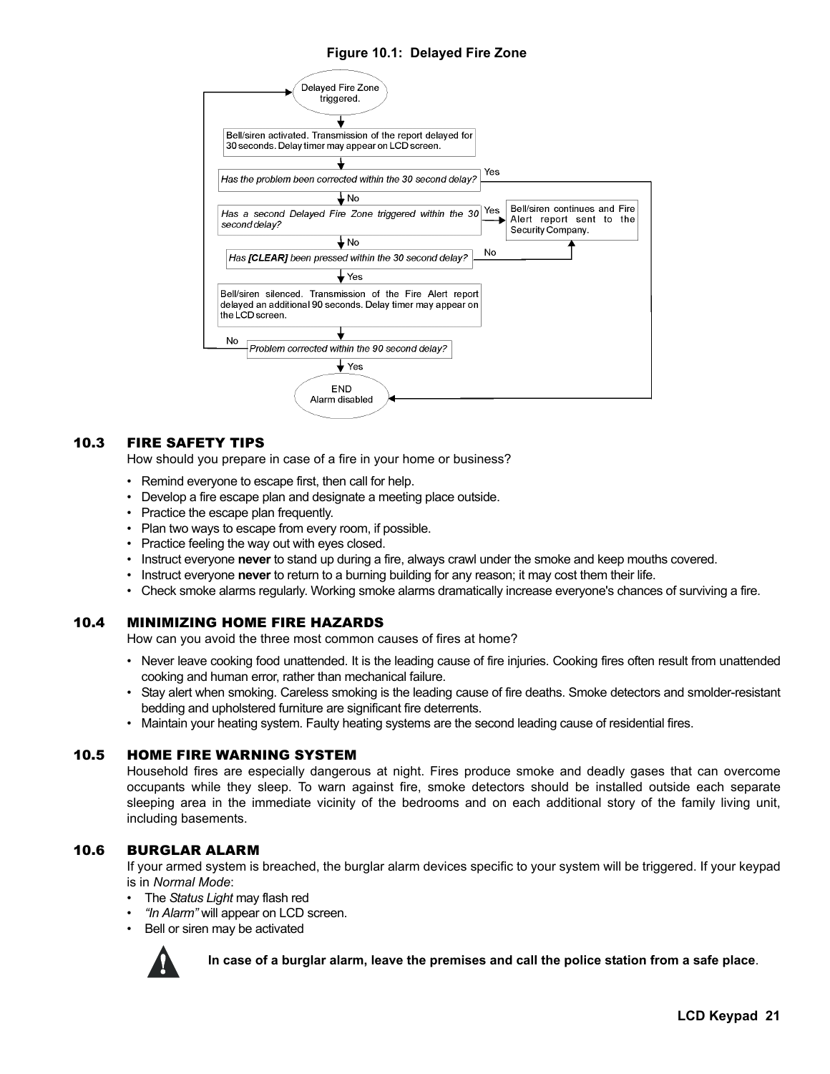### **Figure 10.1: Delayed Fire Zone**



### 10.3 FIRE SAFETY TIPS

How should you prepare in case of a fire in your home or business?

- Remind everyone to escape first, then call for help.
- Develop a fire escape plan and designate a meeting place outside.
- Practice the escape plan frequently.
- Plan two ways to escape from every room, if possible.
- Practice feeling the way out with eyes closed.
- Instruct everyone **never** to stand up during a fire, always crawl under the smoke and keep mouths covered.
- Instruct everyone **never** to return to a burning building for any reason; it may cost them their life.
- Check smoke alarms regularly. Working smoke alarms dramatically increase everyone's chances of surviving a fire.

#### 10.4 MINIMIZING HOME FIRE HAZARDS

How can you avoid the three most common causes of fires at home?

- Never leave cooking food unattended. It is the leading cause of fire injuries. Cooking fires often result from unattended cooking and human error, rather than mechanical failure.
- Stay alert when smoking. Careless smoking is the leading cause of fire deaths. Smoke detectors and smolder-resistant bedding and upholstered furniture are significant fire deterrents.
- Maintain your heating system. Faulty heating systems are the second leading cause of residential fires.

#### 10.5 HOME FIRE WARNING SYSTEM

Household fires are especially dangerous at night. Fires produce smoke and deadly gases that can overcome occupants while they sleep. To warn against fire, smoke detectors should be installed outside each separate sleeping area in the immediate vicinity of the bedrooms and on each additional story of the family living unit, including basements.

### 10.6 BURGLAR ALARM

If your armed system is breached, the burglar alarm devices specific to your system will be triggered. If your keypad is in *Normal Mode*:

- The *Status Light* may flash red
- • *"In Alarm"* will appear on LCD screen.
- Bell or siren may be activated



**In case of a burglar alarm, leave the premises and call the police station from a safe place**.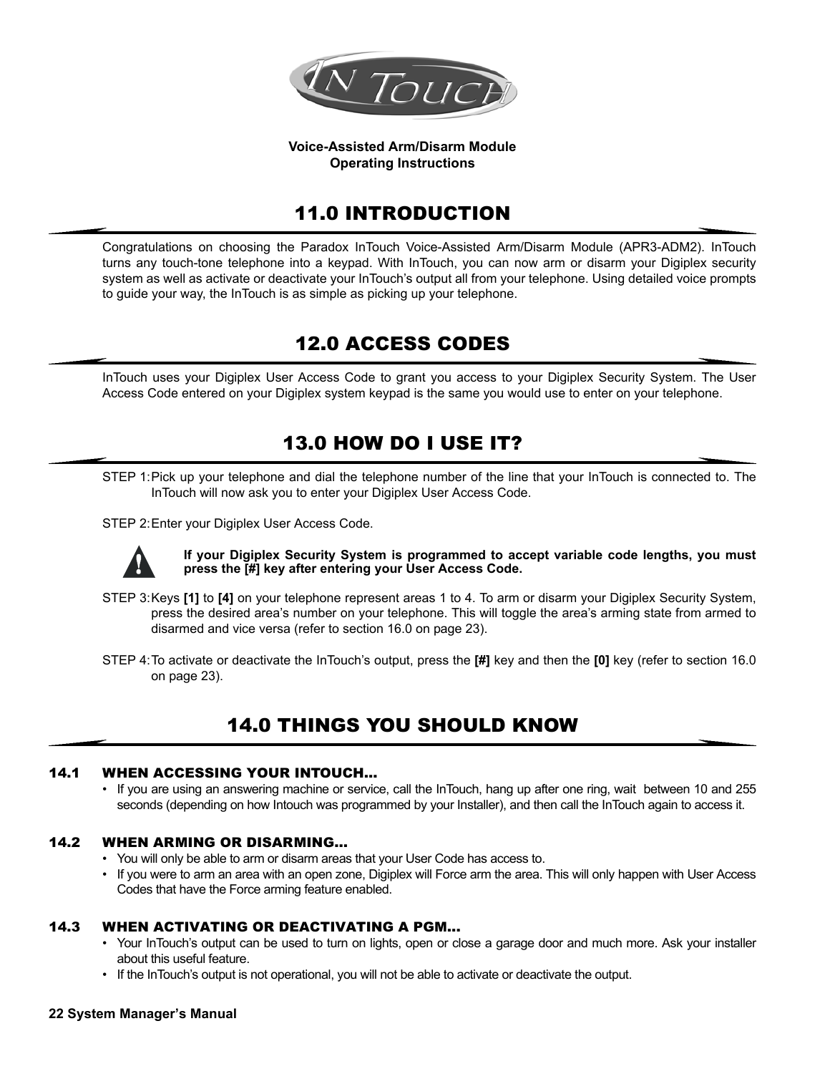

#### **Voice-Assisted Arm/Disarm Module Operating Instructions**

## 11.0 INTRODUCTION

Congratulations on choosing the Paradox InTouch Voice-Assisted Arm/Disarm Module (APR3-ADM2). InTouch turns any touch-tone telephone into a keypad. With InTouch, you can now arm or disarm your Digiplex security system as well as activate or deactivate your InTouch's output all from your telephone. Using detailed voice prompts to guide your way, the InTouch is as simple as picking up your telephone.

## 12.0 ACCESS CODES

InTouch uses your Digiplex User Access Code to grant you access to your Digiplex Security System. The User Access Code entered on your Digiplex system keypad is the same you would use to enter on your telephone.

## 13.0 HOW DO I USE IT?

STEP 1:Pick up your telephone and dial the telephone number of the line that your InTouch is connected to. The InTouch will now ask you to enter your Digiplex User Access Code.

STEP 2:Enter your Digiplex User Access Code.



**If your Digiplex Security System is programmed to accept variable code lengths, you must press the [#] key after entering your User Access Code.**

- STEP 3:Keys **[1]** to **[4]** on your telephone represent areas 1 to 4. To arm or disarm your Digiplex Security System, press the desired area's number on your telephone. This will toggle the area's arming state from armed to disarmed and vice versa (refer to section 16.0 on page 23).
- STEP 4:To activate or deactivate the InTouch's output, press the **[#]** key and then the **[0]** key (refer to section 16.0 on page 23).

## 14.0 THINGS YOU SHOULD KNOW

### 14.1 WHEN ACCESSING YOUR INTOUCH...

• If you are using an answering machine or service, call the InTouch, hang up after one ring, wait between 10 and 255 seconds (depending on how Intouch was programmed by your Installer), and then call the InTouch again to access it.

### 14.2 WHEN ARMING OR DISARMING...

- You will only be able to arm or disarm areas that your User Code has access to.
- If you were to arm an area with an open zone, Digiplex will Force arm the area. This will only happen with User Access Codes that have the Force arming feature enabled.

### 14.3 WHEN ACTIVATING OR DEACTIVATING A PGM...

- Your InTouch's output can be used to turn on lights, open or close a garage door and much more. Ask your installer about this useful feature.
- If the InTouch's output is not operational, you will not be able to activate or deactivate the output.

#### **22 System Manager's Manual**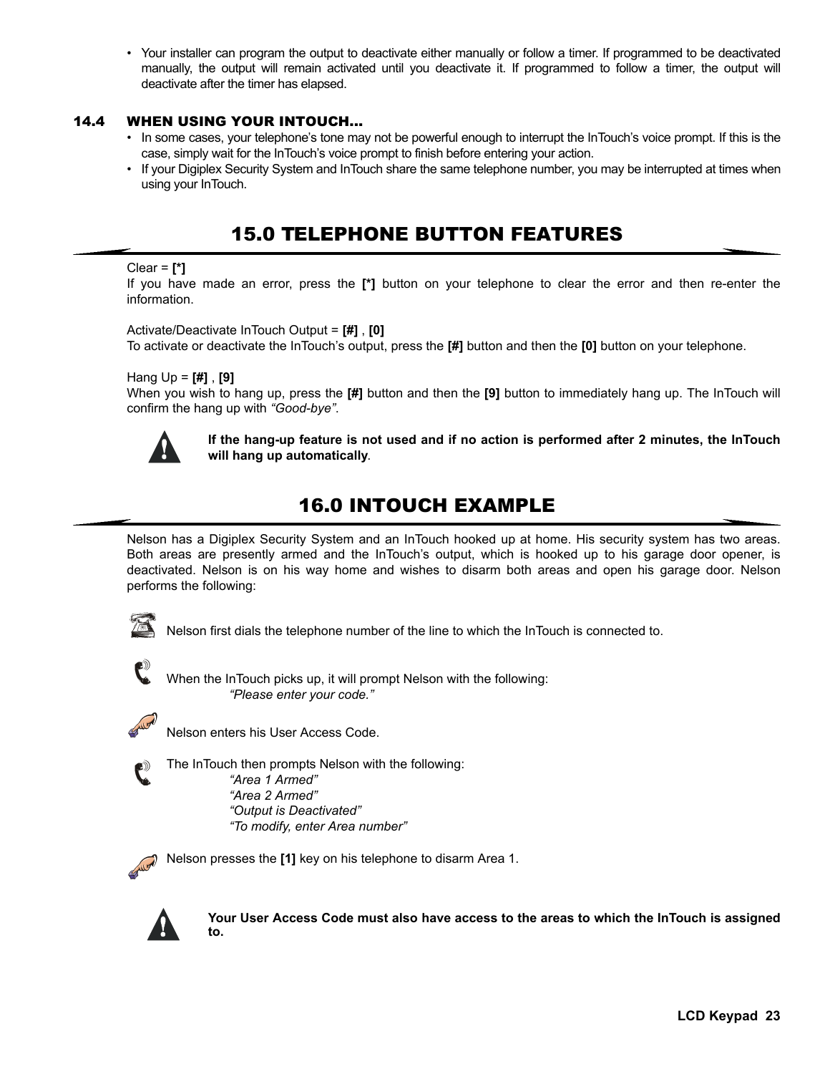• Your installer can program the output to deactivate either manually or follow a timer. If programmed to be deactivated manually, the output will remain activated until you deactivate it. If programmed to follow a timer, the output will deactivate after the timer has elapsed.

### 14.4 WHEN USING YOUR INTOUCH...

- In some cases, your telephone's tone may not be powerful enough to interrupt the InTouch's voice prompt. If this is the case, simply wait for the InTouch's voice prompt to finish before entering your action.
- If your Digiplex Security System and InTouch share the same telephone number, you may be interrupted at times when using your InTouch.

## 15.0 TELEPHONE BUTTON FEATURES

#### Clear = **[\*]**

If you have made an error, press the **[\*]** button on your telephone to clear the error and then re-enter the information.

Activate/Deactivate InTouch Output = **[#]** , **[0]**

To activate or deactivate the InTouch's output, press the **[#]** button and then the **[0]** button on your telephone.

Hang Up = **[#]** , **[9]**

When you wish to hang up, press the **[#]** button and then the **[9]** button to immediately hang up. The InTouch will confirm the hang up with *"Good-bye"*.



**If the hang-up feature is not used and if no action is performed after 2 minutes, the InTouch will hang up automatically**.

## 16.0 INTOUCH EXAMPLE

Nelson has a Digiplex Security System and an InTouch hooked up at home. His security system has two areas. Both areas are presently armed and the InTouch's output, which is hooked up to his garage door opener, is deactivated. Nelson is on his way home and wishes to disarm both areas and open his garage door. Nelson performs the following:



Nelson first dials the telephone number of the line to which the InTouch is connected to.



When the InTouch picks up, it will prompt Nelson with the following: *"Please enter your code."*



Nelson enters his User Access Code.

The InTouch then prompts Nelson with the following: *"Area 1 Armed" "Area 2 Armed" "Output is Deactivated" "To modify, enter Area number"*

Nelson presses the **[1]** key on his telephone to disarm Area 1.



**Your User Access Code must also have access to the areas to which the InTouch is assigned to.**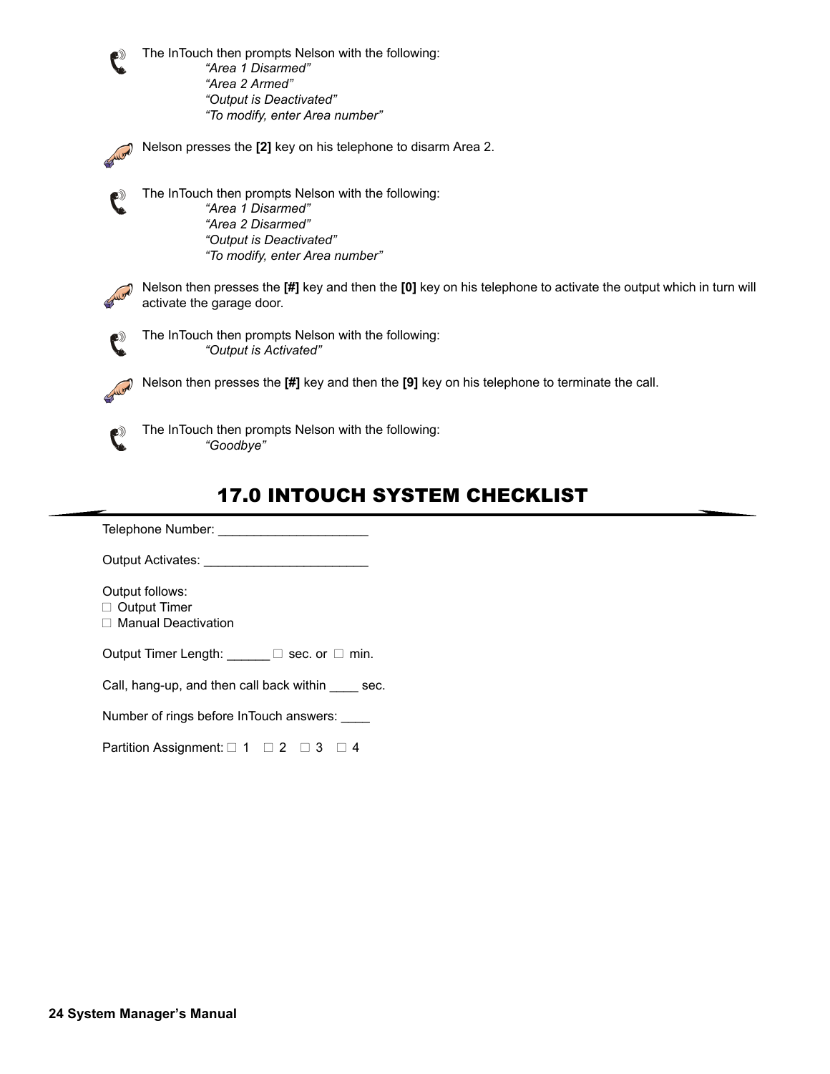The InTouch then prompts Nelson with the following: *"Area 1 Disarmed" "Area 2 Armed" "Output is Deactivated" "To modify, enter Area number"*

Nelson presses the **[2]** key on his telephone to disarm Area 2.

The InTouch then prompts Nelson with the following: *"Area 1 Disarmed" "Area 2 Disarmed" "Output is Deactivated" "To modify, enter Area number"*

Nelson then presses the **[#]** key and then the **[0]** key on his telephone to activate the output which in turn will activate the garage door.

The InTouch then prompts Nelson with the following: *"Output is Activated"*

Nelson then presses the **[#]** key and then the **[9]** key on his telephone to terminate the call.



The InTouch then prompts Nelson with the following: *"Goodbye"*

## 17.0 INTOUCH SYSTEM CHECKLIST

Telephone Number: \_\_\_\_\_\_\_\_\_\_\_\_\_\_\_\_\_\_\_\_\_

Output Activates: \_\_\_\_\_\_\_\_\_\_\_\_\_\_\_\_\_\_\_\_\_\_\_

Output follows:

□ Output Timer

□ Manual Deactivation

Output Timer Length:  $\Box$  sec. or  $\Box$  min.

Call, hang-up, and then call back within \_\_\_\_ sec.

Number of rings before InTouch answers: \_\_\_\_

Partition Assignment:  $\Box$  1  $\Box$  2  $\Box$  3  $\Box$  4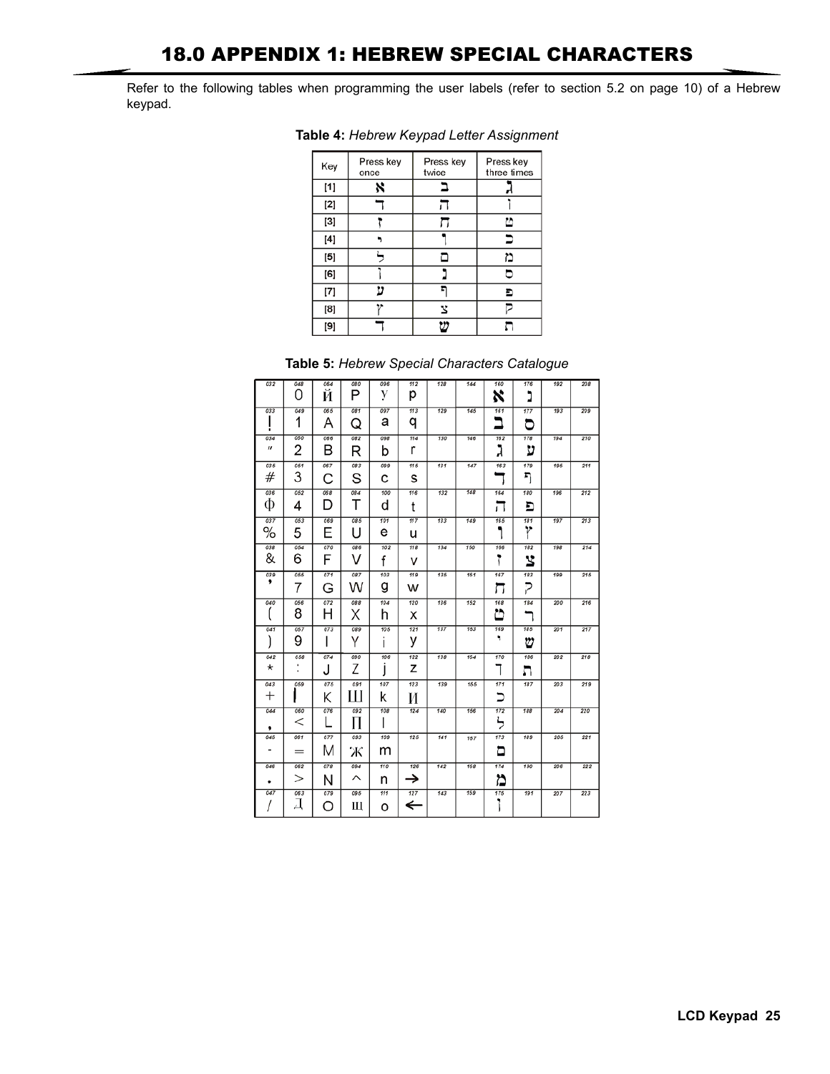Refer to the following tables when programming the user labels (refer to section 5.2 on page 10) of a Hebrew keypad.

| Key   | Press key<br>once | Press key<br>twice | Press key<br>three times |
|-------|-------------------|--------------------|--------------------------|
| $[1]$ | ×                 |                    |                          |
| [2]   |                   |                    |                          |
| [3]   |                   |                    | ّל                       |
| [4]   |                   |                    | ∍                        |
| [5]   |                   |                    | ۳                        |
| [6]   |                   |                    | ∍                        |
| [7]   | 17                |                    | Đ                        |
| [8]   |                   | 3                  |                          |
| [9]   |                   | יי                 |                          |

**Table 4:** *Hebrew Keypad Letter Assignment*

|  |  |  | Table 5: Hebrew Special Characters Catalogue |  |
|--|--|--|----------------------------------------------|--|
|--|--|--|----------------------------------------------|--|

| 032                       | 048<br>Ω      | 064<br>И | 080<br>P | 096<br>V | 112<br>р | 128 | 144 | 160<br>x      | 176<br>٠<br>◢ | 192 | 208 |
|---------------------------|---------------|----------|----------|----------|----------|-----|-----|---------------|---------------|-----|-----|
| 033                       | 049<br>1      | 065<br>А | 081<br>Q | 097<br>а | 113<br>q | 129 | 145 | 161<br>ב      | 177<br>ರ      | 193 | 209 |
| 034<br>$\boldsymbol{\mu}$ | 050<br>2      | 066<br>В | 082<br>R | 098<br>b | 114<br>r | 130 | 146 | 162<br>ג      | 178<br>ע      | 194 | 210 |
| 035<br>#                  | 051<br>3      | 067<br>C | 083<br>S | 099<br>с | 115<br>s | 131 | 147 | 163           | 179<br>ŋ      | 195 | 211 |
| 036<br>Ф                  | 052<br>4      | 068<br>D | 084<br>Т | 100<br>d | 116<br>t | 132 | 148 | 164<br>. .    | 180<br>E      | 196 | 212 |
| 037<br>%                  | 053<br>5      | 069<br>F | 085<br>н | 101<br>e | 117<br>u | 133 | 149 | 165           | 181<br>r      | 197 | 213 |
| 038<br>&                  | 054<br>6      | 070<br>F | 086<br>V | 102<br>f | 118<br>v | 134 | 150 | 166<br>٢      | 182<br>3      | 198 | 214 |
| 039<br>,                  | 055<br>7      | 071<br>G | 087<br>W | 103<br>g | 119<br>w | 135 | 161 | 167<br>ែរ     | 183<br>Ζ      | 199 | 215 |
| 040                       | 056<br>8      | 072<br>Н | 088<br>Χ | 104<br>h | 120<br>x | 136 | 152 | 168<br>బ      | 184           | 200 | 216 |
| 041                       | 057<br>9      | 073      | 089      | 105      | 121      | 137 | 163 | 169           | 185           | 201 | 217 |
| 042                       |               | ı        | Υ        | ı        | у        |     |     | ۰             | ⋓             |     |     |
| *                         | 058<br>٠<br>٠ | 074<br>J | 090<br>7 | 106      | 122<br>z | 138 | 154 | 170<br>I      | 186<br>л      | 202 | 218 |
| 043<br>$^+$               | 059           | 075<br>Κ | 091<br>Ш | 107<br>k | 123<br>И | 139 | 155 | 171<br>▬      | 187           | 203 | 219 |
| 044<br>,                  | 060<br>$\,<$  | 076      | 092<br>П | 708      | 124      | 140 | 156 | 172<br>┶<br>╭ | 188           | 204 | 220 |
| 045                       | 061<br>$=$    | 077<br>M | 093<br>Ж | 109<br>m | 125      | 141 | 157 | 173<br>۵      | 189           | 205 | 221 |
| 046<br>٠                  | 062<br>>      | 078<br>N | 094<br>⌒ | 110<br>n | 126<br>→ | 142 | 158 | 174<br>۵      | 190           | 206 | 222 |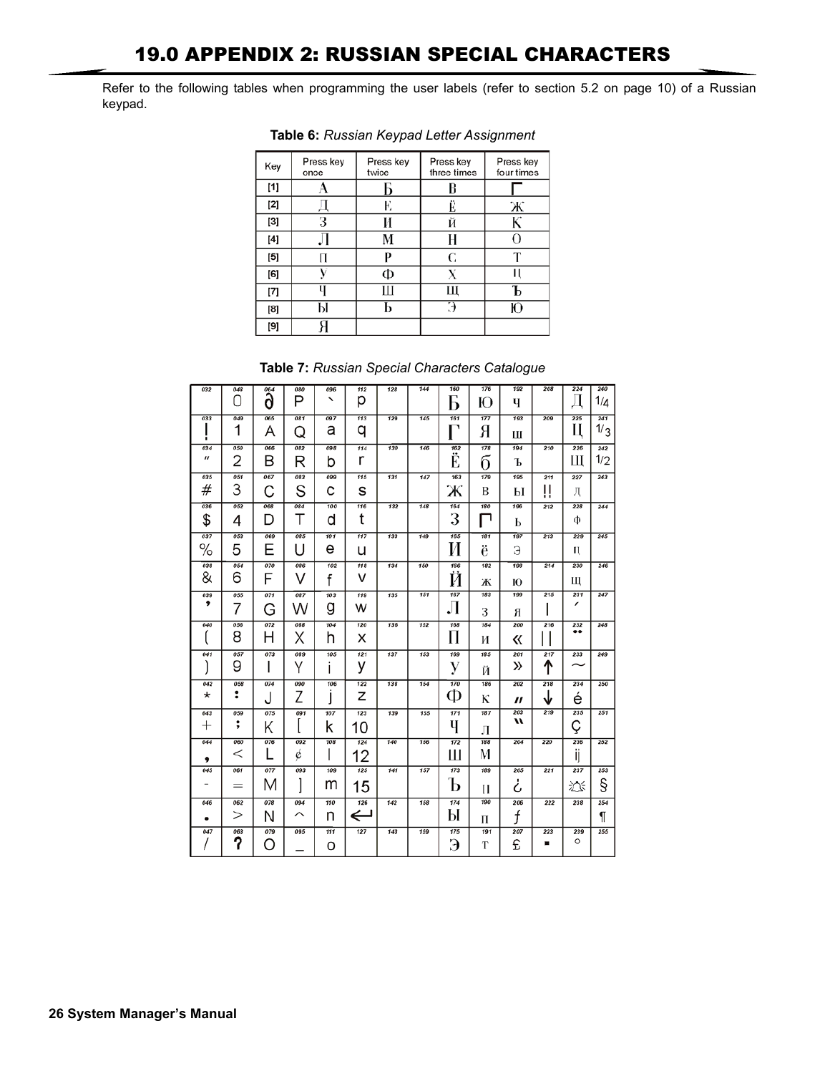Refer to the following tables when programming the user labels (refer to section 5.2 on page 10) of a Russian keypad.

| Key      | Press key<br>once | Press key<br>twice | Press key<br>three times | Press key<br>four times |
|----------|-------------------|--------------------|--------------------------|-------------------------|
| [1]      |                   | Б                  | B                        |                         |
| [2]      |                   | F,                 | E                        | Ж                       |
| [3]      | З                 | И                  | Й                        | К                       |
| [4]      |                   | М                  | Н                        | $\lceil$                |
| [5]      | П                 | D                  | C                        | $\mathbf{T}$            |
| [6]      | V                 | Ф                  |                          |                         |
| $^{[7]}$ |                   | Ш                  | Щ                        |                         |
| [8]      | Ы                 | ь                  | Э                        | Ю                       |
| [9]      |                   |                    |                          |                         |

**Table 6:** *Russian Keypad Letter Assignment*

| Table 7: Russian Special Characters Catalogue |
|-----------------------------------------------|
|-----------------------------------------------|

| 032                               | 048            |                                | 080      | 096 | 112    | 128 | 144 | 160      | 176 | 192              | 208 | 224      | 240        |
|-----------------------------------|----------------|--------------------------------|----------|-----|--------|-----|-----|----------|-----|------------------|-----|----------|------------|
|                                   | Ω              | $\overline{\mathring{\delta}}$ | Ρ        | ↖   | р      |     |     | ┑<br>Þ   | Ю   | Ч                |     | Д        | 1/д        |
| 033                               | 049<br>1       | 065                            | 081      | 097 | 113    | 129 | 145 | 161<br>٦ | 177 | 193              | 209 | 225<br>Ц | 241<br>1/3 |
|                                   |                | А                              | Q        | а   | q      |     |     |          | Я   | Ш                |     |          |            |
| 034<br>$\boldsymbol{\mathcal{U}}$ | 050            | 066                            | 082      | 098 | 114    | 130 | 146 | 162      | 178 | 194              | 210 | 226      | 242        |
|                                   | $\overline{2}$ | B                              | R        | b   | r      |     |     | Ë        | б   | Ъ                |     | Ш        | 1/2        |
| 035                               | 051<br>3       | 067                            | 083      | 099 | 115    | 131 | 147 | 163      | 179 | 195              | 211 | 227      | 243        |
| #                                 |                | С                              | S        | С   | s      |     |     | Ж        | B   | Ы                | ļļ  | Д        |            |
| 036                               | 052            | 068                            | 084      | 100 | 116    | 132 | 148 | 164      | 180 | 196              | 212 | 228      | 244        |
| \$                                | 4              | D                              | Т        | d   | t      |     |     | 3        | ⊓   | Ь                |     | Φ        |            |
| 037                               | 053            | 069                            | 085<br>U | 101 | 117    | 133 | 149 | 165      | 181 | 197              | 213 | 229      | 245        |
| ℅                                 | 5              | Ε                              |          | е   | u      |     |     | И        | ë   | Э                |     | н        |            |
| 038                               | 054            | 070                            | 086      | 102 | 118    | 134 | 150 | 166      | 182 | 198              | 214 | 230      | 246        |
| &                                 | 6              | F                              | V        | f   | v      |     |     | Й        | Ж   | Ю                |     | Ш        |            |
| 039<br>,                          | 055            | 071                            | 087      | 103 | 119    | 135 | 151 | 167      | 183 | 199              | 215 | 231<br>1 | 247        |
|                                   | 7              | G                              | W        | g   | w      |     |     | Л        | 3   | Я                |     |          |            |
| 040                               | 056            | 072                            | 088      | 104 | 120    | 136 | 152 | 168      | 184 | 200              | 216 | 232<br>  | 248        |
|                                   | 8              | Η                              | Χ        | h   | х      |     |     | П        | И   | 《                |     |          |            |
| 041                               | 057            | 073                            | 089      | 105 | 121    | 137 | 153 | 169      | 185 | 201              | 217 | 233      | 249        |
|                                   | 9              | I                              | Υ        | ı   | у      |     |     | у        | Й   | »                | ↑   |          |            |
| 042                               | 058            | 074                            | 090      | 106 | 122    | 138 | 154 | 170      | 186 | 202              | 218 | 234      | 250        |
| $\star$                           | ፡              | J                              | Z        |     | Z      |     |     | Ф        | К   | "                | ↓   | é        |            |
| 043                               | 059            | 075                            | 091      | 107 | 123    | 139 | 155 | 171      | 187 | 203<br>u         | 219 | 235      | 251        |
| $^+$                              | ;              | Κ                              |          | ĸ   | 10     |     |     | Ч        | Л   |                  |     | Ç        |            |
| 044                               | 060            | 076                            | 092      | 108 | 124    | 140 | 156 | 172      | 188 | 204              | 220 | 236      | 252        |
| ,                                 | <              |                                | ¢        | ı   | 12     |     |     | Ш        | M   |                  |     | ij       |            |
| 045                               | 061            | 077                            | 093      | 109 | 125    | 141 | 157 | 173      | 189 | 205              | 221 | 237      | 253        |
|                                   | $=$            | М                              |          | m   | 15     |     |     | Ъ        | П   | ሪ                |     | 苂        | §          |
| 046                               | 062            | 078                            | 094      | 110 | 126    | 142 | 158 | 174      | 190 | 206              | 222 | 238      | 254        |
|                                   | >              | Ν                              | ⌒        | n   | ←<br>┙ |     |     | Ы        | П   | $\boldsymbol{f}$ |     |          | ¶          |
| 047                               | 063            | 079                            | 095      | 111 | 127    | 143 | 159 | 175      | 191 | 207              | 223 | 239<br>O | 255        |
|                                   | ?              | C                              |          | о   |        |     |     | Э        | T   | £                | ■   |          |            |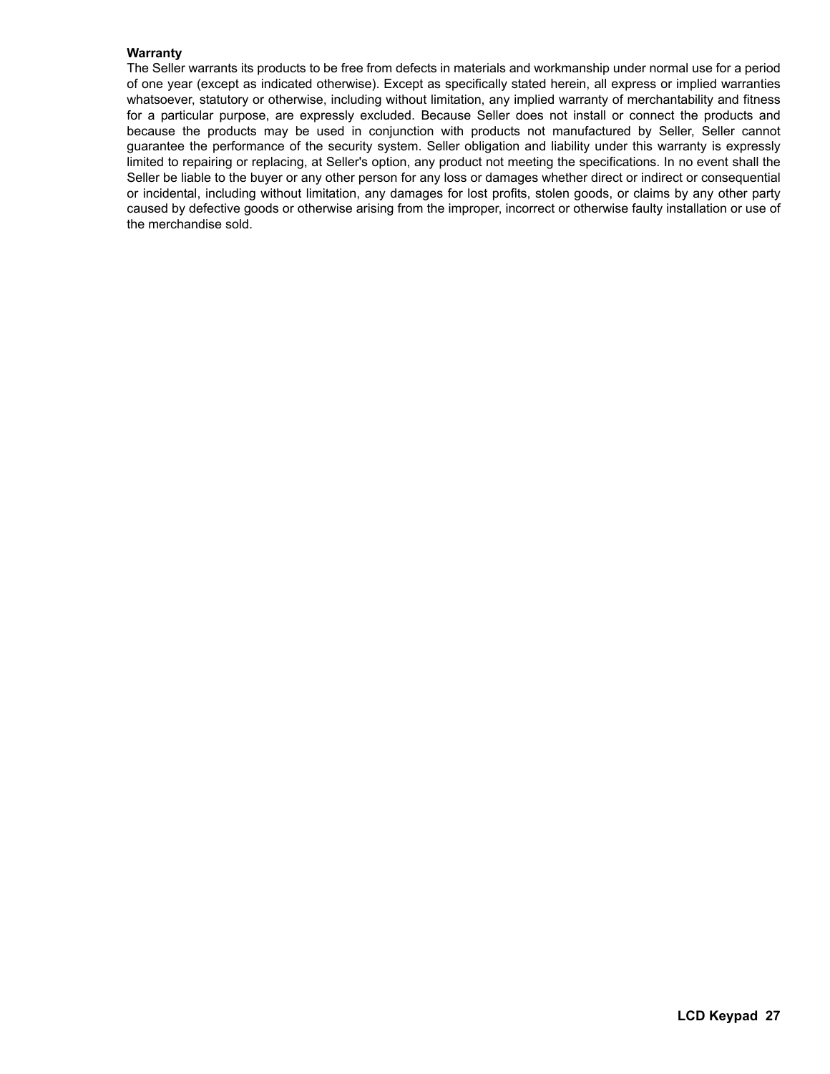#### **Warranty**

The Seller warrants its products to be free from defects in materials and workmanship under normal use for a period of one year (except as indicated otherwise). Except as specifically stated herein, all express or implied warranties whatsoever, statutory or otherwise, including without limitation, any implied warranty of merchantability and fitness for a particular purpose, are expressly excluded. Because Seller does not install or connect the products and because the products may be used in conjunction with products not manufactured by Seller, Seller cannot guarantee the performance of the security system. Seller obligation and liability under this warranty is expressly limited to repairing or replacing, at Seller's option, any product not meeting the specifications. In no event shall the Seller be liable to the buyer or any other person for any loss or damages whether direct or indirect or consequential or incidental, including without limitation, any damages for lost profits, stolen goods, or claims by any other party caused by defective goods or otherwise arising from the improper, incorrect or otherwise faulty installation or use of the merchandise sold.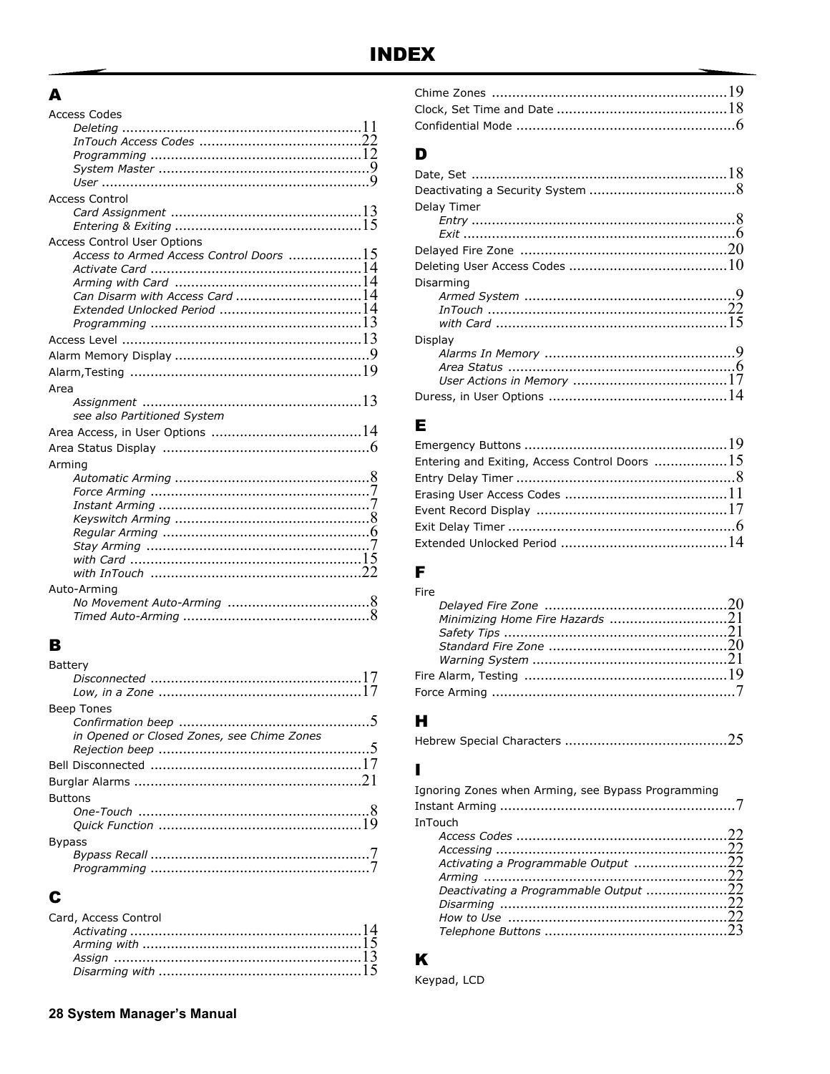## $\mathbf{A}$

| <b>Access Codes</b>                                                          |  |
|------------------------------------------------------------------------------|--|
|                                                                              |  |
|                                                                              |  |
|                                                                              |  |
|                                                                              |  |
|                                                                              |  |
| <b>Access Control</b>                                                        |  |
|                                                                              |  |
|                                                                              |  |
| <b>Access Control User Options</b>                                           |  |
| Access to Armed Access Control Doors $\,\ldots\ldots\ldots\ldots\ldots\, 15$ |  |
|                                                                              |  |
|                                                                              |  |
| Can Disarm with Access Card 14                                               |  |
|                                                                              |  |
|                                                                              |  |
|                                                                              |  |
|                                                                              |  |
|                                                                              |  |
| Area                                                                         |  |
|                                                                              |  |
| see also Partitioned System                                                  |  |
|                                                                              |  |
|                                                                              |  |
| Arming                                                                       |  |
|                                                                              |  |
|                                                                              |  |
|                                                                              |  |
|                                                                              |  |
|                                                                              |  |
|                                                                              |  |
|                                                                              |  |
|                                                                              |  |
| Auto-Arming                                                                  |  |
|                                                                              |  |
|                                                                              |  |
|                                                                              |  |

# $\mathbf{B}$

| Battery                                    |  |
|--------------------------------------------|--|
|                                            |  |
|                                            |  |
| Beep Tones                                 |  |
|                                            |  |
| in Opened or Closed Zones, see Chime Zones |  |
|                                            |  |
|                                            |  |
|                                            |  |
| <b>Buttons</b>                             |  |
|                                            |  |
|                                            |  |
| <b>Bypass</b>                              |  |
|                                            |  |
|                                            |  |
|                                            |  |

## $\mathbf c$

| Card, Access Control |  |
|----------------------|--|
|                      |  |
|                      |  |
|                      |  |
|                      |  |
|                      |  |

## D

| Delay Timer |  |
|-------------|--|
|             |  |
|             |  |
|             |  |
|             |  |
| Disarming   |  |
|             |  |
|             |  |
|             |  |
| Display     |  |
|             |  |
|             |  |
|             |  |
|             |  |

## E

| Entering and Exiting, Access Control Doors 15 |  |
|-----------------------------------------------|--|
|                                               |  |
|                                               |  |
|                                               |  |
|                                               |  |
|                                               |  |

## F

| Fire                            |  |
|---------------------------------|--|
|                                 |  |
| Minimizing Home Fire Hazards 21 |  |
|                                 |  |
|                                 |  |
|                                 |  |
|                                 |  |
|                                 |  |

## $\mathbf H$

|--|--|--|

## $\overline{\phantom{a}}$

| Ignoring Zones when Arming, see Bypass Programming |  |
|----------------------------------------------------|--|
| <b>InTouch</b>                                     |  |
|                                                    |  |
|                                                    |  |
| Activating a Programmable Output 22                |  |
|                                                    |  |
| Deactivating a Programmable Output 22              |  |
|                                                    |  |
|                                                    |  |
|                                                    |  |

## $\mathbf K$

Keypad, LCD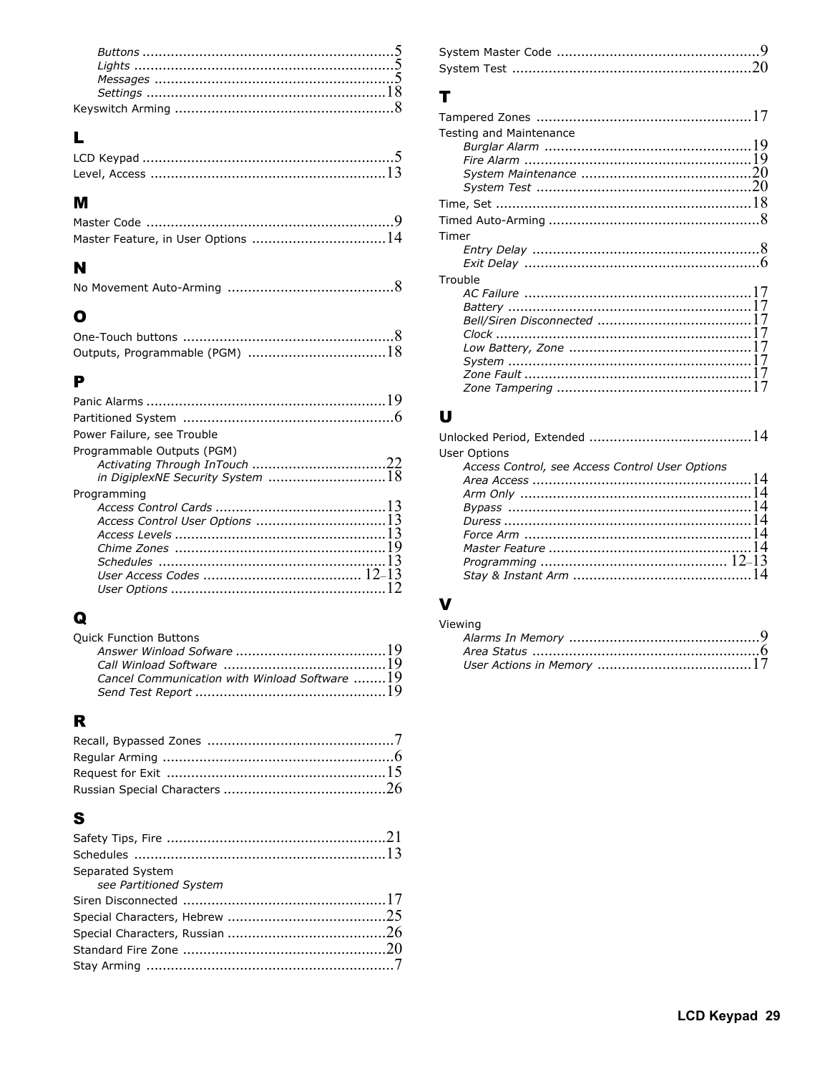## $\mathbf{L}$

## M

## $\blacksquare$

|--|--|

## $\bullet$

## $\mathbf P$

| Power Failure, see Trouble |
|----------------------------|
| Programmable Outputs (PGM) |
| Programming                |

## $\mathbf Q$

| Cancel Communication with Winload Software 19 |
|-----------------------------------------------|
|                                               |
|                                               |

## $\overline{\mathbf{R}}$

## S

| Separated System       |  |
|------------------------|--|
| see Partitioned System |  |
|                        |  |
|                        |  |
|                        |  |
|                        |  |
|                        |  |

## $\mathbf{T}$

| Testing and Maintenance |  |
|-------------------------|--|
|                         |  |
|                         |  |
|                         |  |
|                         |  |
|                         |  |
|                         |  |
| Timer                   |  |
|                         |  |
|                         |  |
| Trouble                 |  |
|                         |  |
|                         |  |
|                         |  |
|                         |  |
|                         |  |
|                         |  |
|                         |  |
|                         |  |
|                         |  |

## $\cup$

| <b>User Options</b>                             |  |
|-------------------------------------------------|--|
| Access Control, see Access Control User Options |  |
|                                                 |  |
|                                                 |  |
|                                                 |  |
|                                                 |  |
|                                                 |  |
|                                                 |  |
|                                                 |  |
|                                                 |  |
|                                                 |  |

## $\mathbf v$

| Viewing |  |
|---------|--|
|         |  |
|         |  |
|         |  |